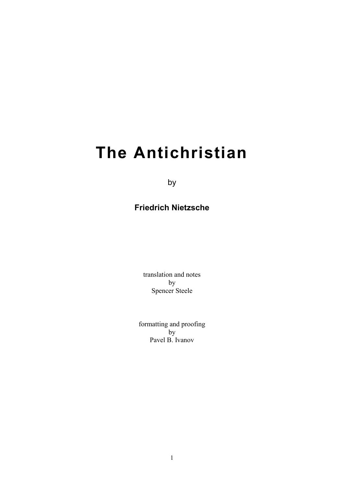# **The Antichristian**

by

# **Friedrich Nietzsche**

translation and notes by Spencer Steele

formatting and proofing  $\mathbf{b}$ Pavel B. Ivanov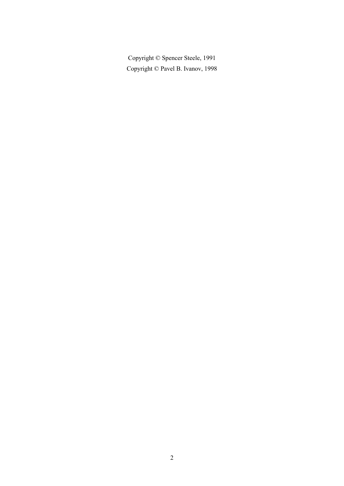Copyright © Spencer Steele, 1991 Copyright © Pavel B. Ivanov, 1998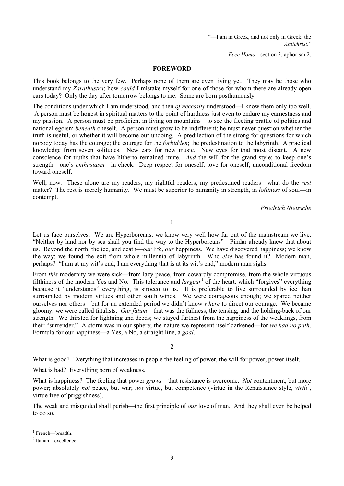"—I am in Greek, and not only in Greek, the *Antichrist*."

*Ecce Homo—*section 3, aphorism 2.

#### **FOREWORD**

This book belongs to the very few. Perhaps none of them are even living yet. They may be those who understand my *Zarathustra*; how *could* I mistake myself for one of those for whom there are already open ears today? Only the day after tomorrow belongs to me. Some are born posthumously.

The conditions under which I am understood, and then *of necessity* understood—I know them only too well. A person must be honest in spiritual matters to the point of hardness just even to endure my earnestness and my passion. A person must be proficient in living on mountains—to see the fleeting prattle of politics and national egoism *beneath* oneself. A person must grow to be indifferent; he must never question whether the truth is useful, or whether it will become our undoing. A predilection of the strong for questions for which nobody today has the courage; the courage for the *forbidden*; the predestination to the labyrinth. A practical knowledge from seven solitudes. New ears for new music. New eyes for that most distant. A new conscience for truths that have hitherto remained mute. *And* the will for the grand style; to keep one's strength—one's *enthusiasm*—in check. Deep respect for oneself; love for oneself; unconditional freedom toward oneself.

Well, now. These alone are my readers, my rightful readers, my predestined readers—what do the *rest* matter? The rest is merely humanity. We must be superior to humanity in strength, in *loftiness* of soul—in contempt.

*Friedrich Nietzsche*

**1**

Let us face ourselves. We are Hyperboreans; we know very well how far out of the mainstream we live. "Neither by land nor by sea shall you find the way to the Hyperboreans"—Pindar already knew that about us. Beyond the north, the ice, and death—*our* life, *our* happiness. We have discovered happiness; we know the way; we found the exit from whole millennia of labyrinth. Who *else* has found it? Modern man, perhaps? "I am at my wit's end; I am everything that is at its wit's end," modern man sighs.

From *this* modernity we were sick—from lazy peace, from cowardly compromise, from the whole virtuous filthiness of the modern Yes and No. This tolerance and *largeur*[1](#page-2-0) of the heart, which "forgives" everything because it "understands" everything, is sirocco to us. It is preferable to live surrounded by ice than surrounded by modern virtues and other south winds. We were courageous enough; we spared neither ourselves nor others—but for an extended period we didn't know *where* to direct our courage. We became gloomy; we were called fatalists. *Our fatum*—that was the fullness, the tensing, and the holding-back of our strength. We thirsted for lightning and deeds; we stayed furthest from the happiness of the weaklings, from their "surrender." A storm was in our sphere; the nature we represent itself darkened—for *we had no path*. Formula for our happiness—a Yes, a No, a straight line, a *goal*.

**2**

What is good? Everything that increases in people the feeling of power, the will for power, power itself.

What is bad? Everything born of weakness.

What is happiness? The feeling that power *grows*—that resistance is overcome. *Not* contentment, but more power; absolutely *not* peace, but war; *not* virtue, but competence (virtue in the Renaissance style, *virtu<sup>[2](#page-2-1)</sup>*, virtue free of priggishness).

The weak and misguided shall perish—the first principle of *our* love of man. And they shall even be helped to do so.

<span id="page-2-0"></span><sup>&</sup>lt;sup>1</sup> French—breadth.

<span id="page-2-1"></span><sup>2</sup> Italian—excellence.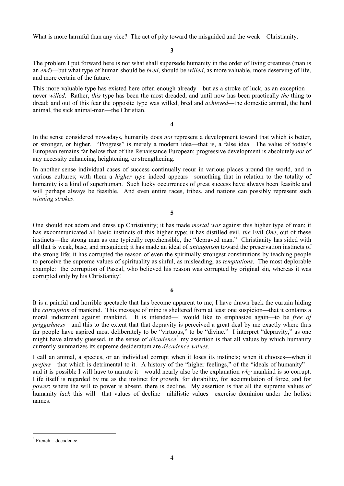What is more harmful than any vice? The act of pity toward the misguided and the weak—Christianity.

**3**

The problem I put forward here is not what shall supersede humanity in the order of living creatures (man is an *end*)—but what type of human should be *bred*, should be *willed*, as more valuable, more deserving of life, and more certain of the future.

This more valuable type has existed here often enough already—but as a stroke of luck, as an exception never *willed*. Rather, *this* type has been the most dreaded, and until now has been practically *the* thing to dread; and out of this fear the opposite type was willed, bred and *achieved*—the domestic animal, the herd animal, the sick animal-man—the Christian.

**4**

In the sense considered nowadays, humanity does *not* represent a development toward that which is better, or stronger, or higher. "Progress" is merely a modern idea—that is, a false idea. The value of today's European remains far below that of the Renaissance European; progressive development is absolutely *not* of any necessity enhancing, heightening, or strengthening.

In another sense individual cases of success continually recur in various places around the world, and in various cultures; with them a *higher type* indeed appears—something that in relation to the totality of humanity is a kind of superhuman. Such lucky occurrences of great success have always been feasible and will perhaps always be feasible. And even entire races, tribes, and nations can possibly represent such *winning strokes*.

**5**

One should not adorn and dress up Christianity; it has made *mortal war* against this higher type of man; it has excommunicated all basic instincts of this higher type; it has distilled evil, *the* Evil *One*, out of these instincts—the strong man as one typically reprehensible, the "depraved man." Christianity has sided with all that is weak, base, and misguided; it has made an ideal of *antagonism* toward the preservation instincts of the strong life; it has corrupted the reason of even the spiritually strongest constitutions by teaching people to perceive the supreme values of spirituality as sinful, as misleading, as *temptations*. The most deplorable example: the corruption of Pascal, who believed his reason was corrupted by original sin, whereas it was corrupted only by his Christianity!

It is a painful and horrible spectacle that has become apparent to me; I have drawn back the curtain hiding the *corruption* of mankind. This message of mine is sheltered from at least one suspicion—that it contains a moral indictment against mankind. It is intended—I would like to emphasize again—to be *free of priggishness*—and this to the extent that that depravity is perceived a great deal by me exactly where thus far people have aspired most deliberately to be "virtuous," to be "divine." I interpret "depravity," as one might have already guessed, in the sense of *décadence*<sup>[3](#page-3-0)</sup> my assertion is that all values by which humanity currently summarizes its supreme desideratum are *décadence-values*.

I call an animal, a species, or an individual corrupt when it loses its instincts; when it chooses—when it *prefers*—that which is detrimental to it. A history of the "higher feelings," of the "ideals of humanity" and it is possible I will have to narrate it—would nearly also be the explanation *why* mankind is so corrupt. Life itself is regarded by me as the instinct for growth, for durability, for accumulation of force, and for *power*; where the will to power is absent, there is decline. My assertion is that all the supreme values of humanity *lack* this will—that values of decline—nihilistic values—exercise dominion under the holiest names.

<span id="page-3-0"></span><sup>&</sup>lt;sup>3</sup> French—decadence.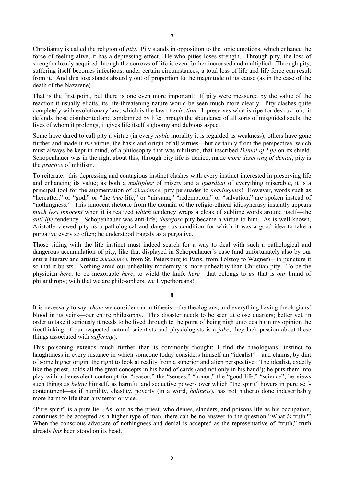Christianity is called the religion of *pity*. Pity stands in opposition to the tonic emotions, which enhance the force of feeling alive; it has a depressing effect. He who pities loses strength. Through pity, the loss of strength already acquired through the sorrows of life is even further increased and multiplied. Through pity, suffering itself becomes infectious; under certain circumstances, a total loss of life and life force can result from it. And this loss stands absurdly out of proportion to the magnitude of its cause (as in the case of the death of the Nazarene).

That is the first point, but there is one even more important: If pity were measured by the value of the reaction it usually elicits, its life-threatening nature would be seen much more clearly. Pity clashes quite completely with evolutionary law, which is the law of *selection*. It preserves what is ripe for destruction; it defends those disinherited and condemned by life; through the abundance of all sorts of misguided souls, the lives of whom it prolongs, it gives life itself a gloomy and dubious aspect.

Some have dared to call pity a virtue (in every *noble* morality it is regarded as weakness); others have gone further and made it *the* virtue, the basis and origin of all virtues—but certainly from the perspective, which must always be kept in mind, of a philosophy that was nihilistic, that inscribed *Denial of Life* on its shield. Schopenhauer was in the right about this; through pity life is denied, made *more deserving of denial*; pity is the *practice* of nihilism.

To reiterate: this depressing and contagious instinct clashes with every instinct interested in preserving life and enhancing its value; as both a *multiplier* of misery and a *guardian* of everything miserable, it is a principal tool for the augmentation of *décadence*; pity persuades to *nothingness*! However, words such as "hereafter," or "god," or "the *true* life," or "nirvana," "redemption," or "salvation," are spoken instead of "nothingness." This innocent rhetoric from the domain of the religio-ethical idiosyncrasy instantly appears *much less innocent* when it is realized *which* tendency wraps a cloak of sublime words around itself—the *anti-life* tendency. Schopenhauer was anti-life; *therefore* pity became a virtue to him. As is well known, Aristotle viewed pity as a pathological and dangerous condition for which it was a good idea to take a purgative every so often; he understood tragedy as a purgative.

Those siding with the life instinct must indeed search for a way to deal with such a pathological and dangerous accumulation of pity, like that displayed in Schopenhauer's case (and unfortunately also by our entire literary and artistic *décadence*, from St. Petersburg to Paris, from Tolstoy to Wagner)—to puncture it so that it bursts. Nothing amid our unhealthy modernity is more unhealthy than Christian pity. To be the physician *here*, to be inexorable *here*, to wield the knife *here*—that belongs to *us*, that is *our* brand of philanthropy; with that we are philosophers, we Hyperboreans!

# **8**

It is necessary to say *whom* we consider our antithesis—the theologians, and everything having theologians' blood in its veins—our entire philosophy. This disaster needs to be seen at close quarters; better yet, in order to take it seriously it needs to be lived through to the point of being nigh unto death (in my opinion the freethinking of our respected natural scientists and physiologists is a *joke*; they lack passion about these things associated with *suffering*).

This poisoning extends much further than is commonly thought; I find the theologians' instinct to haughtiness in every instance in which someone today considers himself an "idealist"—and claims, by dint of some higher origin, the right to look at reality from a superior and alien perspective. The idealist, exactly like the priest, holds all the great concepts in his hand of cards (and not only in his hand!); he puts them into play with a benevolent contempt for "reason," the "senses," "honor," the "good life," "science"; he views such things as *below* himself, as harmful and seductive powers over which "the spirit" hovers in pure selfcontentment—as if humility, chastity, poverty (in a word, *holiness*), has not hitherto done indescribably more harm to life than any terror or vice.

"Pure spirit" is a pure lie. As long as the priest, who denies, slanders, and poisons life as his occupation, continues to be accepted as a higher type of man, there can be no answer to the question "What *is* truth?" When the conscious advocate of nothingness and denial is accepted as the representative of "truth," truth already *has* been stood on its head.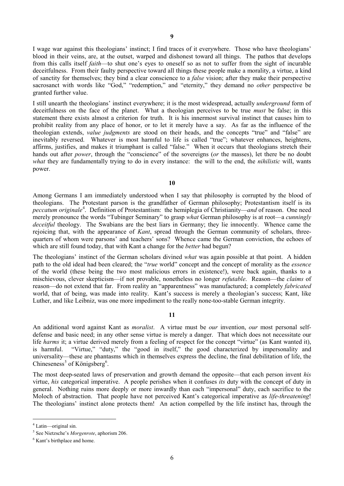I wage war against this theologians' instinct; I find traces of it everywhere. Those who have theologians' blood in their veins, are, at the outset, warped and dishonest toward all things. The pathos that develops from this calls itself *faith*—to shut one's eyes to oneself so as not to suffer from the sight of incurable deceitfulness. From their faulty perspective toward all things these people make a morality, a virtue, a kind of sanctity for themselves; they bind a clear conscience to a *false* vision; after they make their perspective sacrosanct with words like "God," "redemption," and "eternity," they demand no *other* perspective be granted further value.

I still unearth the theologians' instinct everywhere; it is the most widespread, actually *underground* form of deceitfulness on the face of the planet. What a theologian perceives to be true *must* be false; in this statement there exists almost a criterion for truth. It is his innermost survival instinct that causes him to prohibit reality from any place of honor, or to let it merely have a say. As far as the influence of the theologian extends, *value judgments* are stood on their heads, and the concepts "true" and "false" are inevitably reversed. Whatever is most harmful to life is called "true"; whatever enhances, heightens, affirms, justifies, and makes it triumphant is called "false." When it occurs that theologians stretch their hands out after *power*, through the "conscience" of the sovereigns (*or* the masses), let there be no doubt *what* they are fundamentally trying to do in every instance: the will to the end, the *nihilistic* will, wants power.

**10**

Among Germans I am immediately understood when I say that philosophy is corrupted by the blood of theologians. The Protestant parson is the grandfather of German philosophy; Protestantism itself is its *peccatum originale*[4](#page-5-0) . Definition of Protestantism: the hemiplegia of Christianity—*and* of reason. One need merely pronounce the words "Tubinger Seminary" to grasp *what* German philosophy is at root—a *cunningly deceitful* theology. The Swabians are the best liars in Germany; they lie innocently. Whence came the rejoicing that, with the appearance of *Kant*, spread through the German community of scholars, threequarters of whom were parsons' and teachers' sons? Whence came the German conviction, the echoes of which are still found today, that with Kant a change for the *better* had begun?

The theologians' instinct of the German scholars divined *what* was again possible at that point. A hidden path to the old ideal had been cleared; the "*true* world" concept and the concept of morality as the *essence* of the world (these being the two most malicious errors in existence!), were back again, thanks to a mischievous, clever skepticism—if not provable, nonetheless no longer *refutable*. Reason—the *claims* of reason—do not extend that far. From reality an "apparentness" was manufactured; a completely *fabricated* world, that of being, was made into reality. Kant's success is merely a theologian's success; Kant, like Luther, and like Leibniz, was one more impediment to the really none-too-stable German integrity.

#### **11**

An additional word against Kant as *moralist*. A virtue must be *our* invention, *our* most personal selfdefense and basic need; in any other sense virtue is merely a danger. That which does not necessitate our life *harms* it; a virtue derived merely from a feeling of respect for the concept "virtue" (as Kant wanted it), is harmful. "Virtue," "duty," the "good in itself," the good characterized by impersonality and universality—these are phantasms which in themselves express the decline, the final debilitation of life, the Chineseness<sup>[5](#page-5-1)</sup> of Königsberg<sup>[6](#page-5-2)</sup>.

The most deep-seated laws of preservation and growth demand the opposite—that each person invent *his* virtue, *his* categorical imperative. A people perishes when it confuses *its* duty with the concept of duty in general. Nothing ruins more deeply or more inwardly than each "impersonal" duty, each sacrifice to the Moloch of abstraction. That people have not perceived Kant's categorical imperative as *life-threatening*! The theologians' instinct alone protects them! An action compelled by the life instinct has, through the

<span id="page-5-0"></span> <sup>4</sup> Latin—original sin.

<span id="page-5-1"></span><sup>5</sup> See Nietzsche's *Morgenrote*, aphorism 206.

<span id="page-5-2"></span><sup>6</sup> Kant's birthplace and home.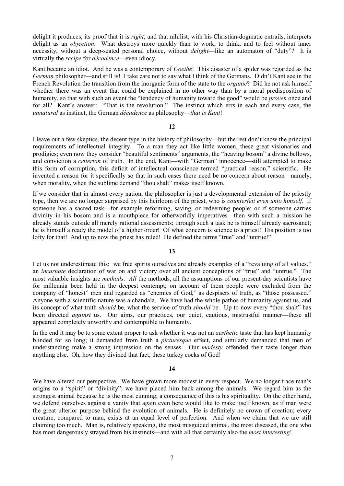delight it produces, its proof that it is *right*; and that nihilist, with his Christian-dogmatic entrails, interprets delight as an *objection*. What destroys more quickly than to work, to think, and to feel without inner necessity, without a deep-seated personal choice, without *delight*—like an automaton of "duty"? It is virtually the *recipe* for *décadence*—even idiocy.

Kant became an idiot. And he was a contemporary of *Goethe*! This disaster of a spider was regarded as the *German* philosopher—and still is! I take care not to say what I think of the Germans. Didn't Kant see in the French Revolution the transition from the inorganic form of the state to the *organic*? Did he not ask himself whether there was an event that could be explained in no other way than by a moral predisposition of humanity, so that with such an event the "tendency of humanity toward the good" would be *proven* once and for all? Kant's answer: "That is the revolution." The instinct which errs in each and every case, the *unnatural* as instinct, the German *décadence* as philosophy—*that is Kant*!

# **12**

I leave out a few skeptics, the decent type in the history of philosophy—but the rest don't know the principal requirements of intellectual integrity. To a man they act like little women, these great visionaries and prodigies; even now they consider "beautiful sentiments" arguments, the "heaving bosom" a divine bellows, and conviction a *criterion* of truth. In the end, Kant—with "German" innocence—still attempted to make this form of corruption, this deficit of intellectual conscience termed "practical reason," scientific. He invented a reason for it specifically so that in such cases there need be no concern about reason—namely, when morality, when the sublime demand "thou shalt" makes itself known.

If we consider that in almost every nation, the philosopher is just a developmental extension of the priestly type, then we are no longer surprised by this heirloom of the priest, who is *counterfeit even unto himself*. If someone has a sacred task—for example reforming, saving, or redeeming people; or if someone carries divinity in his bosom and is a mouthpiece for otherworldly imperatives—then with such a mission he already stands outside all merely rational assessments; through such a task he is himself already sacrosanct; he is himself already the model of a higher order! Of what concern is science to a priest! His position is too lofty for that! And up to now the priest has ruled! He defined the terms "true" and "untrue!"

# **13**

Let us not underestimate this: we free spirits ourselves are already examples of a "revaluing of all values." an *incarnate* declaration of war on and victory over all ancient conceptions of "true" and "untrue." The most valuable insights are *methods*. *All* the methods, all the assumptions of our present-day scientists have for millennia been held in the deepest contempt; on account of them people were excluded from the company of "honest" men and regarded as "enemies of God," as despisers of truth, as "those possessed." Anyone with a scientific nature was a chandala. We have had the whole pathos of humanity against us, and its concept of what truth *should* be, what the service of truth *should* be. Up to now every "thou shalt" has been directed *against* us. Our aims, our practices, our quiet, cautious, mistrustful manner—these all appeared completely unworthy and contemptible to humanity.

In the end it may be to some extent proper to ask whether it was not an *aesthetic* taste that has kept humanity blinded for so long; it demanded from truth a *picturesque* effect, and similarly demanded that men of understanding make a strong impression on the senses. Our *modesty* offended their taste longer than anything else. Oh, how they divined that fact, these turkey cocks of God!

#### **14**

We have altered our perspective. We have grown more modest in every respect. We no longer trace man's origins to a "spirit" or "divinity"; we have placed him back among the animals. We regard him as the strongest animal because he is the most cunning; a consequence of this is his spirituality. On the other hand, we defend ourselves against a vanity that again even here would like to make itself known, as if man were the great ulterior purpose behind the evolution of animals. He is definitely no crown of creation; every creature, compared to man, exists at an equal level of perfection. And when we claim that we are still claiming too much. Man is, relatively speaking, the most misguided animal, the most diseased, the one who has most dangerously strayed from his instincts—and with all that certainly also the *most interesting*!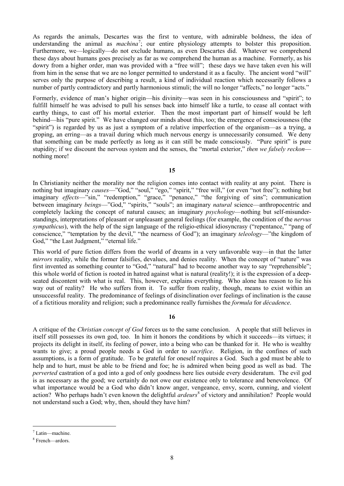As regards the animals, Descartes was the first to venture, with admirable boldness, the idea of understanding the animal as *machina*<sup>[7](#page-7-0)</sup>; our entire physiology attempts to bolster this proposition. Furthermore, we—logically—do not exclude humans, as even Descartes did. Whatever we comprehend these days about humans goes precisely as far as we comprehend the human as a machine. Formerly, as his dowry from a higher order, man was provided with a "free will"; these days we have taken even his will from him in the sense that we are no longer permitted to understand it as a faculty. The ancient word "will" serves only the purpose of describing a result, a kind of individual reaction which necessarily follows a number of partly contradictory and partly harmonious stimuli; the will no longer "affects," no longer "acts."

Formerly, evidence of man's higher origin—his divinity—was seen in his consciousness and "spirit"; to fulfill himself he was advised to pull his senses back into himself like a turtle, to cease all contact with earthy things, to cast off his mortal exterior. Then the most important part of himself would be left behind—his "pure spirit." We have changed our minds about this, too; the emergence of consciousness (the "spirit") is regarded by us as just a symptom of a relative imperfection of the organism—as a trying, a groping, an erring—as a travail during which much nervous energy is unnecessarily consumed. We deny that something can be made perfectly as long as it can still be made consciously. "Pure spirit" is pure stupidity; if we discount the nervous system and the senses, the "mortal exterior," *then we falsely reckon* nothing more!

**15**

In Christianity neither the morality nor the religion comes into contact with reality at any point. There is nothing but imaginary *causes*—"God," "soul," "ego," "spirit," "free will," (or even "not free"); nothing but imaginary *effects*—"sin," "redemption," "grace," "penance," "the forgiving of sins"; communication between imaginary *beings*—"God," "spirits," "souls"; an imaginary *natural* science—anthropocentric and completely lacking the concept of natural causes; an imaginary *psychology*—nothing but self-misunderstandings, interpretations of pleasant or unpleasant general feelings (for example, the condition of the *nervus sympathicus*), with the help of the sign language of the religio-ethical idiosyncrasy ("repentance," "pang of conscience," "temptation by the devil," "the nearness of God"); an imaginary *teleology*—"the kingdom of God," "the Last Judgment," "eternal life."

This world of pure fiction differs from the world of dreams in a very unfavorable way—in that the latter *mirrors* reality, while the former falsifies, devalues, and denies reality. When the concept of "nature" was first invented as something counter to "God," "natural" had to become another way to say "reprehensible"; this whole world of fiction is rooted in hatred against what is natural (reality!); it is the expression of a deepseated discontent with what is real. This, however, explains everything. Who alone has reason to lie his way out of reality? He who suffers from it. To suffer from reality, though, means to exist within an unsuccessful reality. The predominance of feelings of disinclination over feelings of inclination is the cause of a fictitious morality and religion; such a predominance really furnishes the *formula* for *décadence*.

# **16**

A critique of the *Christian concept of God* forces us to the same conclusion. A people that still believes in itself still possesses its own god, too. In him it honors the conditions by which it succeeds—its virtues; it projects its delight in itself, its feeling of power, into a being who can be thanked for it. He who is wealthy wants to give; a proud people needs a God in order to *sacrifice*. Religion, in the confines of such assumptions, is a form of gratitude. To be grateful for oneself requires a God. Such a god must be able to help and to hurt, must be able to be friend and foe; he is admired when being good as well as bad. The *perverted* castration of a god into a god of only goodness here lies outside every desideratum. The evil god is as necessary as the good; we certainly do not owe our existence only to tolerance and benevolence. Of what importance would be a God who didn't know anger, vengeance, envy, scorn, cunning, and violent action? Who perhaps hadn't even known the delightful *ardeurs*<sup>[8](#page-7-1)</sup> of victory and annihilation? People would not understand such a God; why, then, should they have him?

<span id="page-7-0"></span> $^7$  Latin—machine.

<span id="page-7-1"></span><sup>8</sup> French—ardors.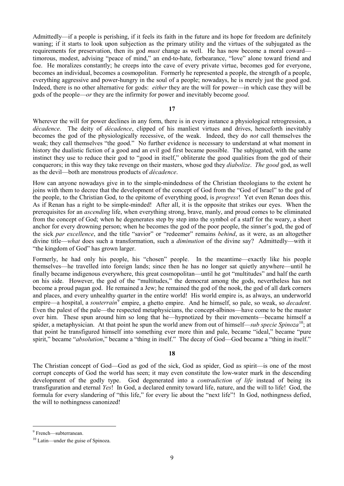Admittedly—if a people is perishing, if it feels its faith in the future and its hope for freedom are definitely waning; if it starts to look upon subjection as the primary utility and the virtues of the subjugated as the requirements for preservation, then its god *must* change as well. He has now become a moral coward timorous, modest, advising "peace of mind," an end-to-hate, forbearance, "love" alone toward friend and foe. He moralizes constantly; he creeps into the cave of every private virtue, becomes god for everyone, becomes an individual, becomes a cosmopolitan. Formerly he represented a people, the strength of a people, everything aggressive and power-hungry in the soul of a people; nowadays, he is merely just the good god. Indeed, there is no other alternative for gods: *either* they are the will for power—in which case they will be gods of the people—*or* they are the infirmity for power and inevitably become *good*.

# **17**

Wherever the will for power declines in any form, there is in every instance a physiological retrogression, a *décadence*. The deity of *décadence*, clipped of his manliest virtues and drives, henceforth inevitably becomes the god of the physiologically recessive, of the weak. Indeed, they do *not* call themselves the weak; they call themselves "the good." No further evidence is necessary to understand at what moment in history the dualistic fiction of a good and an evil god first became possible. The subjugated, with the same instinct they use to reduce their god to "good in itself," obliterate the good qualities from the god of their conquerors; in this way they take revenge on their masters, whose god they *diabolize*. *The good* god, as well as the devil—both are monstrous products of *décadence*.

How can anyone nowadays give in to the simple-mindedness of the Christian theologians to the extent he joins with them to decree that the development of the concept of God from the "God of Israel" to the god of the people, to the Christian God, to the epitome of everything good, is *progress*! Yet even Renan does this. As if Renan has a right to be simple-minded! After all, it is the opposite that strikes our eyes. When the prerequisites for an *ascending* life, when everything strong, brave, manly, and proud comes to be eliminated from the concept of God; when he degenerates step by step into the symbol of a staff for the weary, a sheet anchor for every drowning person; when he becomes the god of the poor people, the sinner's god, the god of the sick *par excellence*, and the title "savior" or "redeemer" remains *behind*, as it were, as an altogether divine title—*what* does such a transformation, such a *diminution* of the divine say? Admittedly—with it "the kingdom of God" has grown larger.

Formerly, he had only his people, his "chosen" people. In the meantime—exactly like his people themselves—he travelled into foreign lands; since then he has no longer sat quietly anywhere—until he finally became indigenous everywhere, this great cosmopolitan—until he got "multitudes" and half the earth on his side. However, the god of the "multitudes," the democrat among the gods, nevertheless has not become a proud pagan god. He remained a Jew; he remained the god of the nook, the god of all dark corners and places, and every unhealthy quarter in the entire world! His world empire is, as always, an underworld empire—a hospital, a *souterrain*[9](#page-8-0) empire, a ghetto empire. And he himself, so pale, so weak, so *decadent*. Even the palest of the pale—the respected metaphysicians, the concept-albinos—have come to be the master over him. These spun around him so long that he—hypnotized by their movements—became himself a spider, a metaphysician. At that point he spun the world anew from out of himself—*sub specie Spinoza*<sup>10</sup>; at that point he transfigured himself into something ever more thin and pale, became "ideal," became "pure spirit," became "*absolution*," became a "thing in itself." The decay of God—God became a "thing in itself."

# **18**

The Christian concept of God—God as god of the sick, God as spider, God as spirit—is one of the most corrupt concepts of God the world has seen; it may even constitute the low-water mark in the descending development of the godly type. God degenerated into a *contradiction of life* instead of being its transfiguration and eternal *Yes*! In God, a declared enmity toward life, nature, and the will to life! God, the formula for every slandering of "this life," for every lie about the "next life"! In God, nothingness defied, the will to nothingness canonized!

<span id="page-8-0"></span> <sup>9</sup> French—subterranean.

<span id="page-8-1"></span><sup>&</sup>lt;sup>10</sup> Latin—under the guise of Spinoza.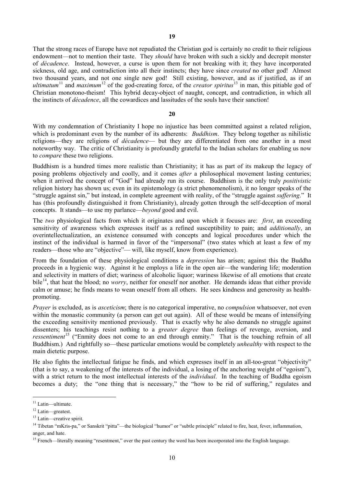That the strong races of Europe have not repudiated the Christian god is certainly no credit to their religious endowment—not to mention their taste. They *should* have broken with such a sickly and decrepit monster of *décadence*. Instead, however, a curse is upon them for not breaking with it; they have incorporated sickness, old age, and contradiction into all their instincts; they have since *created* no other god! Almost two thousand years, and not one single new god! Still existing, however, and as if justified, as if an *ultimatum*<sup>[11](#page-9-0)</sup> and *maximum*<sup>[12](#page-9-1)</sup> of the god-creating force, of the *creator spiritus*<sup>[13](#page-9-2)</sup> in man, this pitiable god of Christian monotono-theism! This hybrid decay-object of naught, concept, and contradiction, in which all the instincts of *décadence*, all the cowardices and lassitudes of the souls have their sanction!

#### **20**

With my condemnation of Christianity I hope no injustice has been committed against a related religion, which is predominant even by the number of its adherents: *Buddhism*. They belong together as nihilistic religions—they are religions of *décadence*— but they are differentiated from one another in a most noteworthy way. The critic of Christianity is profoundly grateful to the Indian scholars for enabling us now to *compare* these two religions.

Buddhism is a hundred times more realistic than Christianity; it has as part of its makeup the legacy of posing problems objectively and coolly, and it comes *after* a philosophical movement lasting centuries; when it arrived the concept of "God" had already run its course. Buddhism is the only truly *positivistic* religion history has shown us; even in its epistemology (a strict phenomenolism), it no longer speaks of the "struggle against sin," but instead, in complete agreement with reality, of the "struggle against *suffering*." It has (this profoundly distinguished it from Christianity), already gotten through the self-deception of moral concepts. It stands—to use my parlance—*beyond* good and evil.

The *two* physiological facts from which it originates and upon which it focuses are: *first*, an exceeding sensitivity of awareness which expresses itself as a refined susceptibility to pain; and *additionally*, an overintellectualization, an existence consumed with concepts and logical procedures under which the instinct of the individual is harmed in favor of the "impersonal" (two states which at least a few of my readers—those who are "objective"— will, like myself, know from experience).

From the foundation of these physiological conditions a *depression* has arisen; against this the Buddha proceeds in a hygienic way. Against it he employs a life in the open air—the wandering life; moderation and selectivity in matters of diet; wariness of alcoholic liquor; wariness likewise of all emotions that create bile<sup>14</sup>, that heat the blood; no *worry*, neither for oneself nor another. He demands ideas that either provide calm or amuse; he finds means to wean oneself from all others. He sees kindness and generosity as healthpromoting.

*Prayer* is excluded, as is *asceticism*; there is no categorical imperative, no *compulsion* whatsoever, not even within the monastic community (a person can get out again). All of these would be means of intensifying the exceeding sensitivity mentioned previously. That is exactly why he also demands no struggle against dissenters; his teachings resist nothing to a *greater degree* than feelings of revenge, aversion, and *ressentiment*<sup>[15](#page-9-4)</sup> ("Enmity does not come to an end through enmity." That is the touching refrain of all Buddhism.) And rightfully so—these particular emotions would be completely *unhealthy* with respect to the main dietetic purpose.

He also fights the intellectual fatigue he finds, and which expresses itself in an all-too-great "objectivity" (that is to say, a weakening of the interests of the individual, a losing of the anchoring weight of "egoism"), with a strict return to the most intellectual interests of the *individual*. In the teaching of Buddha egoism becomes a duty; the "one thing that is necessary," the "how to be rid of suffering," regulates and

<span id="page-9-0"></span><sup>&</sup>lt;sup>11</sup> Latin—ultimate.

<span id="page-9-1"></span><sup>&</sup>lt;sup>12</sup> Latin—greatest.

<span id="page-9-2"></span><sup>&</sup>lt;sup>13</sup> Latin—creative spirit.

<span id="page-9-3"></span><sup>&</sup>lt;sup>14</sup> Tibetan "mKris-pa," or Sanskrit "pitta"—the biological "humor" or "subtle principle" related to fire, heat, fever, inflammation, anger, and hate.

<span id="page-9-4"></span><sup>&</sup>lt;sup>15</sup> French—literally meaning "resentment," over the past century the word has been incorporated into the English language.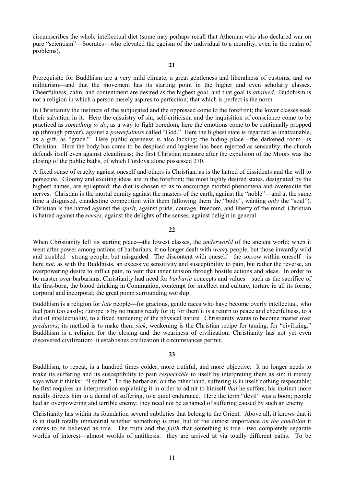circumscribes the whole intellectual diet (some may perhaps recall that Athenian who also declared war on pure "scientism"—Socrates—who elevated the egoism of the individual to a morality, even in the realm of problems).

Prerequisite for Buddhism are a very mild climate, a great gentleness and liberalness of customs, and *no* militarism—and that the movement has its starting point in the higher and even scholarly classes. Cheerfulness, calm, and contentment are desired as the highest goal, and that goal is *attained*. Buddhism is not a religion in which a person merely aspires to perfection; that which is perfect is the norm.

In Christianity the instincts of the subjugated and the oppressed come to the forefront; the lower classes seek their salvation in it. Here the casuistry of sin, self-criticism, and the inquisition of conscience come to be practiced as *something to do*, as a way to fight boredom; here the emotions come to be continually propped up (through prayer), against a *powerfulness* called "God." Here the highest state is regarded as unattainable, as a gift, as "grace." Here public openness is also lacking; the hiding place—the darkened room—is Christian. Here the body has come to be despised and hygiene has been rejected as sensuality; the church defends itself even against cleanliness; the first Christian measure after the expulsion of the Moors was the closing of the public baths, of which Cordova alone possessed 270.

A fixed sense of cruelty against oneself and others is Christian, as is the hatred of dissidents and the will to persecute. Gloomy and exciting ideas are in the forefront; the most highly desired states, designated by the highest names, are epileptoid; the diet is chosen so as to encourage morbid phenomena and overexcite the nerves. Christian is the mortal enmity against the masters of the earth, against the "noble"—and at the same time a disguised, clandestine competition with them (allowing them the "body", wanting *only* the "soul"). Christian is the hatred against the *spirit*, against pride, courage, freedom, and liberty of the mind; Christian is hatred against the *senses*, against the delights of the senses, against delight in general.

# **22**

When Christianity left its starting place—the lowest classes, the *underworld* of the ancient world; when it went after power among nations of barbarians, it no longer dealt with *weary* people, but those inwardly wild and troubled—strong people, but misguided. The discontent with oneself—the sorrow within oneself—is here *not*, as with the Buddhists, an excessive sensitivity and susceptibility to pain, but rather the reverse, an overpowering desire to inflict pain, to vent that inner tension through hostile actions and ideas. In order to be master over barbarians, Christianity had need for *barbaric* concepts and values—such as the sacrifice of the first-born, the blood drinking in Communion, contempt for intellect and culture; torture in all its forms, corporal and incorporal; the great pomp surrounding worship.

Buddhism is a religion for *late* people—for gracious, gentle races who have become overly intellectual, who feel pain too easily; Europe is by no means ready for it; for them it is a return to peace and cheerfulness, to a diet of intellectuality, to a fixed hardening of the physical nature. Christianity wants to become master over *predators*; its method is to make them *sick*; weakening is the Christian recipe for taming, for "civilizing." Buddhism is a religion for the closing and the weariness of civilization; Christianity has not yet even discovered civilization: it establishes civilization if circumstances permit.

#### **23**

Buddhism, to repeat, is a hundred times colder, more truthful, and more objective. It no longer needs to make its suffering and its susceptibility to pain *respectable* to itself by interpreting them as sin; it merely says what it thinks: "I suffer." To the barbarian, on the other hand, suffering is in itself nothing respectable; he first requires an interpretation explaining it in order to admit to himself *that* he suffers; his instinct more readily directs him to a denial of suffering, to a quiet endurance. Here the term "devil" was a boon; people had an overpowering and terrible enemy; they need not be ashamed of suffering caused by such an enemy.

Christianity has within its foundation several subtleties that belong to the Orient. Above all, it knows that it is in itself totally immaterial whether something is true, but of the utmost importance *on the condition* it comes to be believed as true. The truth and the *faith* that something is true—two completely separate worlds of interest—almost worlds of antithesis: they are arrived at via totally different paths. To be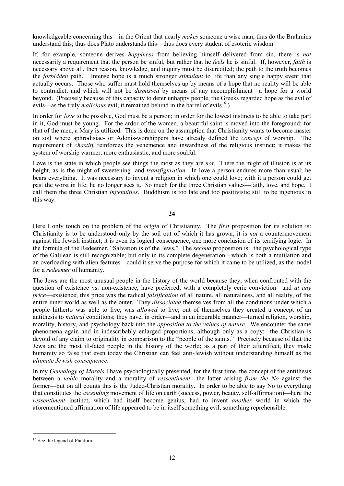knowledgeable concerning this—in the Orient that nearly *makes* someone a wise man; thus do the Brahmins understand this; thus does Plato understands this—thus does every student of esoteric wisdom.

If, for example, someone derives *happiness* from believing himself delivered from sin, there is *not* necessarily a requirement that the person be sinful, but rather that he *feels* he is sinful. If, however, *faith* is necessary above all, then reason, knowledge, and inquiry must be discredited; the path to the truth becomes the *forbidden* path. Intense hope is a much stronger *stimulant* to life than any single happy event that actually occurs. Those who suffer must hold themselves up by means of a hope that no reality will be able to contradict, and which will not be *dismissed* by means of any accomplishment—a hope for a world beyond. (Precisely because of this capacity to deter unhappy people, the Greeks regarded hope as the evil of evils—as the truly *malicious* evil; it remained behind in the barrel of evils<sup>[16](#page-11-0)</sup>.)

In order for *love* to be possible, God must be a person; in order for the lowest instincts to be able to take part in it, God must be young. For the ardor of the women, a beautiful saint is moved into the foreground; for that of the men, a Mary is utilized. This is done on the assumption that Christianity wants to become master on soil where aphrodisiac- or Adonis-worshippers have already defined the *concept* of worship. The requirement of *chastity* reinforces the vehemence and inwardness of the religious instinct; it makes the system of worship warmer, more enthusiastic, and more soulful.

Love is the state in which people see things the most as they are *not*. There the might of illusion is at its height, as is the might of sweetening and *transfiguration*. In love a person endures more than usual; he bears everything. It was necessary to invent a religion in which one could love; with it a person could get past the worst in life; he no longer sees it. So much for the three Christian values—faith, love, and hope. I call them the three Christian *ingenuities*. Buddhism is too late and too positivistic still to be ingenious in this way.

# **24**

Here I only touch on the problem of the *origin* of Christianity. The *first* proposition for its solution is: Christianity is to be understood only by the soil out of which it has grown; it is *not* a countermovement against the Jewish instinct; it is even its logical consequence, one more conclusion of its terrifying logic. In the formula of the Redeemer, "Salvation is of the Jews." The *second* proposition is: the psychological type of the Galilean is still recognizable; but only in its complete degeneration—which is both a mutilation and an overloading with alien features—could it serve the purpose for which it came to be utilized, as the model for a *redeemer* of humanity.

The Jews are the most unusual people in the history of the world because they, when confronted with the question of existence vs. non-existence, have preferred, with a completely eerie conviction—and *at any price*—existence; this price was the radical *falsification* of all nature, all naturalness, and all reality, of the entire inner world as well as the outer. They *dissociated* themselves from all the conditions under which a people hitherto was able to live, was *allowed* to live; out of themselves they created a concept of an antithesis to *natural* conditions; they have, in order—and in an incurable manner—turned religion, worship, morality, history, and psychology back into the *opposition to the values of nature*. We encounter the same phenomena again and in indescribably enlarged proportions, although only as a copy: the Christian is devoid of any claim to originality in comparison to the "people of the saints." Precisely because of that the Jews are the most ill-fated people in the history of the world; as a part of their aftereffect, they made humanity so false that even today the Christian can feel anti-Jewish without understanding himself as the *ultimate Jewish consequence*.

In my *Genealogy of Morals* I have psychologically presented, for the first time, the concept of the antithesis between a *noble* morality and a morality of *ressentiment*—the latter arising *from the No* against the former—but on all counts this is the Judeo-Christian morality. In order to be able to say No to everything that constitutes the *ascending* movement of life on earth (success, power, beauty, self-affirmation)—here the *ressentiment* instinct, which had itself become genius, had to invent *another* world in which the aforementioned affirmation of life appeared to be in itself something evil, something reprehensible.

<span id="page-11-0"></span><sup>&</sup>lt;sup>16</sup> See the legend of Pandora.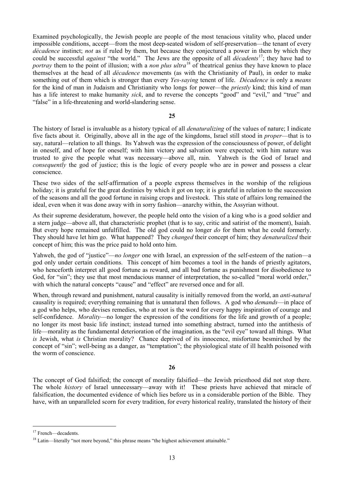Examined psychologically, the Jewish people are people of the most tenacious vitality who, placed under impossible conditions, accept—from the most deep-seated wisdom of self-preservation—the tenant of every *décadence* instinct; *not* as if ruled by them, but because they conjectured a power in them by which they could be successful *against* "the world." The Jews are the opposite of all *décadents*[17;](#page-12-0) they have had to *portray* them to the point of illusion; with a *non plus ultra*<sup>[18](#page-12-1)</sup> of theatrical genius they have known to place themselves at the head of all *décadence* movements (as with the Christianity of Paul), in order to make something out of them which is stronger than every *Yes-saying* tenent of life. *Décadence* is only a *means* for the kind of man in Judaism and Christianity who longs for power—the *priestly* kind; this kind of man has a life interest to make humanity *sick*, and to reverse the concepts "good" and "evil," and "true" and "false" in a life-threatening and world-slandering sense.

### **25**

The history of Israel is invaluable as a history typical of all *denaturalizing* of the values of nature; I indicate five facts about it. Originally, above all in the age of the kingdoms, Israel still stood in *proper*—that is to say, natural—relation to all things. Its Yahweh was the expression of the consciousness of power, of delight in oneself, and of hope for oneself; with him victory and salvation were expected; with him nature was trusted to give the people what was necessary—above all, rain. Yahweh is the God of Israel and *consequently* the god of justice; this is the logic of every people who are in power and possess a clear conscience.

These two sides of the self-affirmation of a people express themselves in the worship of the religious holiday; it is grateful for the great destinies by which it got on top; it is grateful in relation to the succession of the seasons and all the good fortune in raising crops and livestock. This state of affairs long remained the ideal, even when it was done away with in sorry fashion—anarchy within, the Assyrian without.

As their supreme desideratum, however, the people held onto the vision of a king who is a good soldier and a stern judge—above all, that characteristic prophet (that is to say, critic and satirist of the moment), Isaiah. But every hope remained unfulfilled. The old god could no longer *do* for them what he could formerly. They should have let him go. What happened? They *changed* their concept of him; they *denaturalized* their concept of him; this was the price paid to hold onto him.

Yahweh, the god of "justice"—*no longer* one with Israel, an expression of the self-esteem of the nation—a god only under certain conditions. This concept of him becomes a tool in the hands of priestly agitators, who henceforth interpret all good fortune as reward, and all bad fortune as punishment for disobedience to God, for "sin"; they use that most mendacious manner of interpretation, the so-called "moral world order," with which the natural concepts "cause" and "effect" are reversed once and for all.

When, through reward and punishment, natural causality is initially removed from the world, an *anti-natural* causality is required; everything remaining that is unnatural then follows. A god who *demands*—in place of a god who helps, who devises remedies, who at root is the word for every happy inspiration of courage and self-confidence. *Morality*—no longer the expression of the conditions for the life and growth of a people; no longer its most basic life instinct; instead turned into something abstract, turned into the antithesis of life—morality as the fundamental deterioration of the imagination, as the "evil eye" toward all things. What *is* Jewish, what *is* Christian morality? Chance deprived of its innocence, misfortune besmirched by the concept of "sin"; well-being as a danger, as "temptation"; the physiological state of ill health poisoned with the worm of conscience.

# **26**

The concept of God falsified; the concept of morality falsified—the Jewish priesthood did not stop there. The whole *history* of Israel unnecessary—away with it! These priests have achieved that miracle of falsification, the documented evidence of which lies before us in a considerable portion of the Bible. They have, with an unparalleled scorn for every tradition, for every historical reality, translated the history of their

<span id="page-12-0"></span><sup>&</sup>lt;sup>17</sup> French—decadents.

<span id="page-12-1"></span><sup>&</sup>lt;sup>18</sup> Latin—literally "not more beyond," this phrase means "the highest achievement attainable."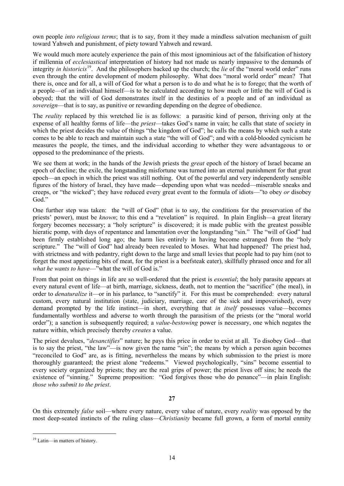own people *into religious terms*; that is to say, from it they made a mindless salvation mechanism of guilt toward Yahweh and punishment, of piety toward Yahweh and reward.

We would much more acutely experience the pain of this most ignominious act of the falsification of history if millennia of *ecclesiastical* interpretation of history had not made us nearly impassive to the demands of integrity *in historicis* [19.](#page-13-0) And the philosophers backed up the church; the *lie* of the "moral world order" runs even through the entire development of modern philosophy. What does "moral world order" mean? That there is, once and for all, a will of God for what a person is to do and what he is to forego; that the worth of a people—of an individual himself—is to be calculated according to how much or little the will of God is obeyed; that the will of God demonstrates itself in the destinies of a people and of an individual as *sovereign*—that is to say, as punitive or rewarding depending on the degree of obedience.

The *reality* replaced by this wretched lie is as follows: a parasitic kind of person, thriving only at the expense of all healthy forms of life—the *priest*—takes God's name in vain; he calls that state of society in which the priest decides the value of things "the kingdom of God"; he calls the means by which such a state comes to be able to reach and maintain such a state "the will of God"; and with a cold-blooded cynicism he measures the people, the times, and the individual according to whether they were advantageous to or opposed to the predominance of the priests.

We see them at work; in the hands of the Jewish priests the *great* epoch of the history of Israel became an epoch of decline; the exile, the longstanding misfortune was turned into an eternal punishment for that great epoch—an epoch in which the priest was still nothing. Out of the powerful and very independently sensible figures of the history of Israel, they have made—depending upon what was needed—miserable sneaks and creeps, or "the wicked"; they have reduced every great event to the formula of idiots—"to obey *or* disobey God."

One further step was taken: the "will of God" (that is to say, the conditions for the preservation of the priests' power), must be *known*; to this end a "revelation" is required. In plain English—a great literary forgery becomes necessary; a "holy scripture" is discovered; it is made public with the greatest possible hieratic pomp, with days of repentance and lamentation over the longstanding "sin." The "will of God" had been firmly established long ago; the harm lies entirely in having become estranged from the "holy scripture." The "will of God" had already been revealed to Moses. What had happened? The priest had, with strictness and with pedantry, right down to the large and small levies that people had to pay him (not to forget the most appetizing bits of meat, for the priest is a beefsteak eater), skillfully phrased once and for all *what he wants to have*—"what the will of God is."

From that point on things in life are so well-ordered that the priest is *essential*; the holy parasite appears at every natural event of life—at birth, marriage, sickness, death, not to mention the "sacrifice" (the meal), in order to *denaturalize* it—or in his parlance, to "sanctify" it. For this must be comprehended: every natural custom, every natural institution (state, judiciary, marriage, care of the sick and impoverished), every demand prompted by the life instinct—in short, everything that *in itself* possesses value—becomes fundamentally worthless and adverse to worth through the parasitism of the priests (or the "moral world order"); a sanction is subsequently required; a *value-bestowing* power is necessary, one which negates the nature within, which precisely thereby *creates* a value.

The priest devalues, "*desanctifies*" nature; he pays this price in order to exist at all. To disobey God—that is to say the priest, "the law"—is now given the name "sin"; the means by which a person again becomes "reconciled to God" are, as is fitting, nevertheless the means by which submission to the priest is more thoroughly guaranteed; the priest alone "redeems." Viewed psychologically, "sins" become essential to every society organized by priests; they are the real grips of power; the priest lives off sins; he needs the existence of "sinning." Supreme proposition: "God forgives those who do penance"—in plain English: *those who submit to the priest*.

**27**

On this extremely *false* soil—where every nature, every value of nature, every *reality* was opposed by the most deep-seated instincts of the ruling class—*Christianity* became full grown, a form of mortal enmity

<span id="page-13-0"></span><sup>&</sup>lt;sup>19</sup> Latin—in matters of history.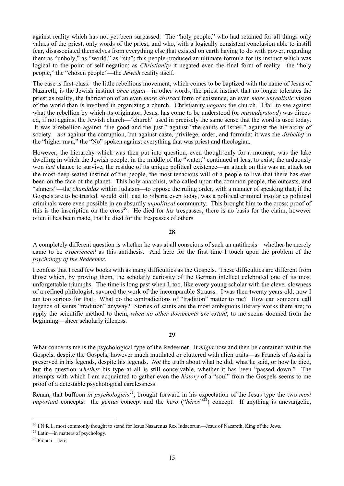against reality which has not yet been surpassed. The "holy people," who had retained for all things only values of the priest, only words of the priest, and who, with a logically consistent conclusion able to instill fear, disassociated themselves from everything else that existed on earth having to do with power, regarding them as "unholy," as "world," as "sin"; this people produced an ultimate formula for its instinct which was logical to the point of self-negation; as *Christianity* it negated even the final form of reality—the "holy people," the "chosen people"—the *Jewish* reality itself.

The case is first-class: the little rebellious movement, which comes to be baptized with the name of Jesus of Nazareth, is the Jewish instinct *once again*—in other words, the priest instinct that no longer tolerates the priest as reality, the fabrication of an even *more abstract* form of existence, an even *more unrealistic* vision of the world than is involved in organizing a church. Christianity *negates* the church. I fail to see against what the rebellion by which its originator, Jesus, has come to be understood (or *misunderstood*) was directed, if not against the Jewish church—"church" used in precisely the same sense that the word is used today. It was a rebellion against "the good and the just," against "the saints of Israel," against the hierarchy of society—*not* against the corruption, but against caste, privilege, order, and formula; it was the *disbelief* in the "higher man," the "No" spoken against everything that was priest and theologian.

However, the hierarchy which was then put into question, even though only for a moment, was the lake dwelling in which the Jewish people, in the middle of the "water," continued at least to exist; the arduously won *last* chance to survive, the residue of its unique political existence—an attack on this was an attack on the most deep-seated instinct of the people, the most tenacious will of a people to live that there has ever been on the face of the planet. This holy anarchist, who called upon the common people, the outcasts, and "sinners"—the *chandalas* within Judaism—to oppose the ruling order, with a manner of speaking that, if the Gospels are to be trusted, would still lead to Siberia even today, was a political criminal insofar as political criminals were even possible in an absurdly *unpolitical* community. This brought him to the cross; proof of this is the inscription on the cross<sup>20</sup>. He died for *his* trespasses; there is no basis for the claim, however often it has been made, that he died for the trespasses of others.

**28**

A completely different question is whether he was at all conscious of such an antithesis—whether he merely came to be *experienced* as this antithesis. And here for the first time I touch upon the problem of the *psychology of the Redeemer*.

I confess that I read few books with as many difficulties as the Gospels. These difficulties are different from those which, by proving them, the scholarly curiosity of the German intellect celebrated one of its most unforgettable triumphs. The time is long past when I, too, like every young scholar with the clever slowness of a refined philologist, savored the work of the incomparable Strauss. I was then twenty years old; now I am too serious for that. What do the contradictions of "tradition" matter to me? How can someone call legends of saints "tradition" anyway? Stories of saints are the most ambiguous literary works there are; to apply the scientific method to them, *when no other documents are extant*, to me seems doomed from the beginning—sheer scholarly idleness.

# **29**

What concerns me is the psychological type of the Redeemer. It *might* now and then be contained within the Gospels, despite the Gospels, however much mutilated or cluttered with alien traits—as Francis of Assisi is preserved in his legends, despite his legends. *Not* the truth about what he did, what he said, or how he died, but the question *whether* his type at all is still conceivable, whether it has been "passed down." The attempts with which I am acquainted to gather even the *history* of a "soul" from the Gospels seems to me proof of a detestable psychological carelessness.

Renan, that buffoon *in psychologicis*[21](#page-14-1), brought forward in his expectation of the Jesus type the two *most important* concepts: the *genius* concept and the *hero* ("*héros*"<sup>[22](#page-14-2)</sup>) concept. If anything is unevangelic,

<span id="page-14-0"></span><sup>&</sup>lt;sup>20</sup> I.N.R.I., most commonly thought to stand for Iesus Nazarenus Rex Iudaeorum—Jesus of Nazareth, King of the Jews.

<span id="page-14-1"></span><sup>21</sup> Latin—in matters of psychology.

<span id="page-14-2"></span><sup>22</sup> French—hero.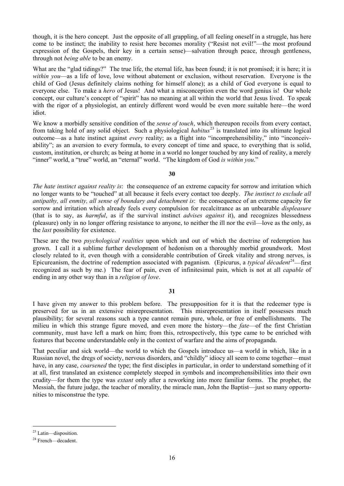though, it is the hero concept. Just the opposite of all grappling, of all feeling oneself in a struggle, has here come to be instinct; the inability to resist here becomes morality ("Resist not evil!"—the most profound expression of the Gospels, their key in a certain sense)—salvation through peace, through gentleness, through not *being able* to be an enemy.

What are the "glad tidings?" The true life, the eternal life, has been found; it is not promised; it is here; it is *within you*—as a life of love, love without abatement or exclusion, without reservation. Everyone is the child of God (Jesus definitely claims nothing for himself alone); as a child of God everyone is equal to everyone else. To make a *hero* of Jesus! And what a misconception even the word genius is! Our whole concept, our culture's concept of "spirit" has no meaning at all within the world that Jesus lived. To speak with the rigor of a physiologist, an entirely different word would be even more suitable here—the word idiot.

We know a morbidly sensitive condition of the *sense of touch*, which thereupon recoils from every contact, from taking hold of any solid object. Such a physiological *habitus*<sup>[23](#page-15-0)</sup> is translated into its ultimate logical outcome—as a hate instinct against *every* reality; as a flight into "incomprehensibility," into "inconceivability"; as an aversion to every formula, to every concept of time and space, to everything that is solid, custom, institution, or church; as being at home in a world no longer touched by any kind of reality, a merely "inner" world, a "true" world, an "eternal" world. "The kingdom of God *is within you*."

# **30**

*The hate instinct against reality is*: the consequence of an extreme capacity for sorrow and irritation which no longer wants to be "touched" at all because it feels every contact too deeply. *The instinct to exclude all antipathy, all enmity, all sense of boundary and detachment is*: the consequence of an extreme capacity for sorrow and irritation which already feels every compulsion for recalcitrance as an unbearable *displeasure* (that is to say, as *harmful*, as if the survival instinct *advises against* it), and recognizes blessedness (pleasure) only in no longer offering resistance to anyone, to neither the ill nor the evil—love as the only, as the *last* possibility for existence.

These are the two *psychological realities* upon which and out of which the doctrine of redemption has grown. I call it a sublime further development of hedonism on a thoroughly morbid groundwork. Most closely related to it, even though with a considerable contribution of Greek vitality and strong nerves, is Epicureanism, the doctrine of redemption associated with paganism. (Epicurus, a *typical décadent*<sup>24</sup>—first recognized as such by me.) The fear of pain, even of infinitesimal pain, which is not at all *capable* of ending in any other way than in a *religion of love*.

# **31**

I have given my answer to this problem before. The presupposition for it is that the redeemer type is preserved for us in an extensive misrepresentation. This misrepresentation in itself possesses much plausibility; for several reasons such a type cannot remain pure, whole, or free of embellishments. The milieu in which this strange figure moved, and even more the history—the *fate*—of the first Christian community, must have left a mark on him; from this, retrospectively, this type came to be enriched with features that become understandable only in the context of warfare and the aims of propaganda.

That peculiar and sick world—the world to which the Gospels introduce us—a world in which, like in a Russian novel, the dregs of society, nervous disorders, and "childly" idiocy all seem to come together—must have, in any case, *coarsened* the type; the first disciples in particular, in order to understand something of it at all, first translated an existence completely steeped in symbols and incomprehensibilities into their own crudity—for them the type was *extant* only after a reworking into more familiar forms. The prophet, the Messiah, the future judge, the teacher of morality, the miracle man, John the Baptist—just so many opportunities to misconstrue the type.

<span id="page-15-0"></span> <sup>23</sup> Latin—disposition.

<span id="page-15-1"></span><sup>&</sup>lt;sup>24</sup> French—decadent.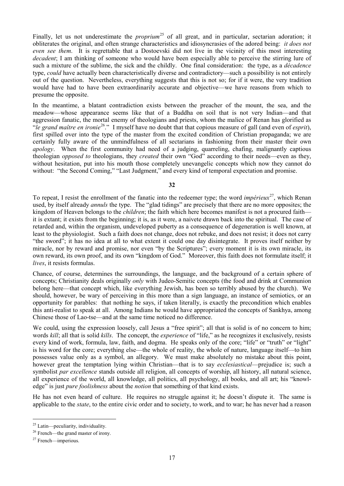Finally, let us not underestimate the *proprium*<sup>[25](#page-16-0)</sup> of all great, and in particular, sectarian adoration; it obliterates the original, and often strange characteristics and idiosyncrasies of the adored being: *it does not even see them*. It is regrettable that a Dostoevski did not live in the vicinity of this most interesting *decadent*; I am thinking of someone who would have been especially able to perceive the stirring lure of such a mixture of the sublime, the sick and the childly. One final consideration: the type, as a *décadence* type, *could* have actually been characteristically diverse and contradictory—such a possibility is not entirely out of the question. Nevertheless, everything suggests that this is not so; for if it were, the very tradition would have had to have been extraordinarily accurate and objective—we have reasons from which to presume the opposite.

In the meantime, a blatant contradiction exists between the preacher of the mount, the sea, and the meadow—whose appearance seems like that of a Buddha on soil that is not very Indian—and that aggression fanatic, the mortal enemy of theologians and priests, whom the malice of Renan has glorified as "*le grand maître en ironie*[26](#page-16-1)." I myself have no doubt that that copious measure of gall (and even of *esprit*), first spilled over into the type of the master from the excited condition of Christian propaganda; we are certainly fully aware of the unmindfulness of all sectarians in fashioning from their master their own *apology*. When the first community had need of a judging, quarreling, chafing, malignantly captious theologian *opposed to* theologians, they *created* their own "God" according to their needs—even as they, without hesitation, put into his mouth those completely unevangelic concepts which now they cannot do without: "the Second Coming," "Last Judgment," and every kind of temporal expectation and promise.

**32**

To repeat, I resist the enrollment of the fanatic into the redeemer type; the word *impérieux*<sup>[27](#page-16-2)</sup>, which Renan used, by itself already *annuls* the type. The "glad tidings" are precisely that there are no more opposites; the kingdom of Heaven belongs to the *children*; the faith which here becomes manifest is not a procured faith it is extant; it exists from the beginning; it is, as it were, a naivete drawn back into the spiritual. The case of retarded and, within the organism, undeveloped puberty as a consequence of degeneration is well known, at least to the physiologist. Such a faith does not change, does not rebuke, and does not resist; it does not carry "the sword"; it has no idea at all to what extent it could one day disintegrate. It proves itself neither by miracle, nor by reward and promise, nor even "by the Scriptures"; every moment it is its own miracle, its own reward, its own proof, and its own "kingdom of God." Moreover, this faith does not formulate itself; it *lives*, it resists formulas.

Chance, of course, determines the surroundings, the language, and the background of a certain sphere of concepts; Christianity deals originally *only* with Judeo-Semitic concepts (the food and drink at Communion belong here—that concept which, like everything Jewish, has been so terribly abused by the church). We should, however, be wary of perceiving in this more than a sign language, an instance of semiotics, or an opportunity for parables: that nothing he says, if taken literally, is exactly the precondition which enables this anti-realist to speak at all. Among Indians he would have appropriated the concepts of Sankhya, among Chinese those of Lao-tse—and at the same time noticed no difference.

We could, using the expression loosely, call Jesus a "free spirit"; all that is solid is of no concern to him; words *kill*; all that is solid *kills*. The concept, the *experience* of "life," as he recognizes it exclusively, resists every kind of work, formula, law, faith, and dogma. He speaks only of the core; "life" or "truth" or "light" is his word for the core; everything else—the whole of reality, the whole of nature, language itself—to him possesses value only as a symbol, an allegory. We must make absolutely no mistake about this point, however great the temptation lying within Christian—that is to say *ecclesiastical*—prejudice is; such a symbolist *par excellence* stands outside all religion, all concepts of worship, all history, all natural science, all experience of the world, all knowledge, all politics, all psychology, all books, and all art; his "knowledge" is just *pure foolishness* about the *notion* that something of that kind exists.

He has not even heard of culture. He requires no struggle against it; he doesn't dispute it. The same is applicable to the *state*, to the entire civic order and to society, to work, and to war; he has never had a reason

<span id="page-16-0"></span> <sup>25</sup> Latin—peculiarity, individuality.

<span id="page-16-1"></span><sup>26</sup> French—the grand master of irony.

<span id="page-16-2"></span><sup>27</sup> French—imperious.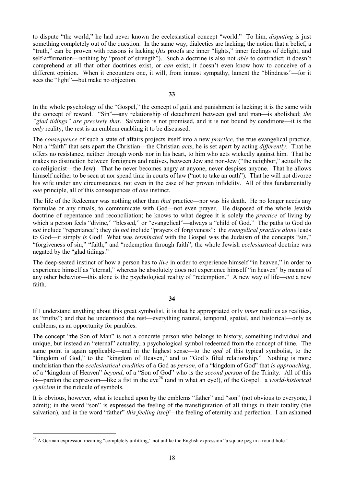to dispute "the world," he had never known the ecclesiastical concept "world." To him, *disputing* is just something completely out of the question. In the same way, dialectics are lacking; the notion that a belief, a "truth," can be proven with reasons is lacking (*his* proofs are inner "lights," inner feelings of delight, and self-affirmation—nothing by "proof of strength"). Such a doctrine is also not *able* to contradict; it doesn't comprehend at all that other doctrines exist, or *can* exist; it doesn't even know how to conceive of a different opinion. When it encounters one, it will, from inmost sympathy, lament the "blindness"—for it sees the "light"—but make no objection.

**33**

In the whole psychology of the "Gospel," the concept of guilt and punishment is lacking; it is the same with the concept of reward. "Sin"—any relationship of detachment between god and man—is abolished; *the "glad tidings" are precisely that*. Salvation is not promised, and it is not bound by conditions—it is the *only* reality; the rest is an emblem enabling it to be discussed.

The *consequence* of such a state of affairs projects itself into a new *practice*, the true evangelical practice. Not a "faith" that sets apart the Christian—the Christian *acts*, he is set apart by acting *differently*. That he offers no resistance, neither through words nor in his heart, to him who acts wickedly against him. That he makes no distinction between foreigners and natives, between Jew and non-Jew ("the neighbor," actually the co-religionist—the Jew). That he never becomes angry at anyone, never despises anyone. That he allows himself neither to be seen at nor spend time in courts of law ("not to take an oath"). That he will not divorce his wife under any circumstances, not even in the case of her proven infidelity. All of this fundamentally *one* principle, all of this consequences of *one* instinct.

The life of the Redeemer was nothing other than *that* practice—nor was his death. He no longer needs any formulae or any rituals, to communicate with God—not even prayer. He disposed of the whole Jewish doctrine of repentance and reconciliation; he knows to what degree it is solely the *practice* of living by which a person feels "divine," "blessed," or "evangelical"—always a "child of God." The paths to God do *not* include "repentance"; they do *not* include "prayers of forgiveness": the *evangelical practice alone* leads to God—it simply *is* God! What was *terminated* with the Gospel was the Judaism of the concepts "sin," "forgiveness of sin," "faith," and "redemption through faith"; the whole Jewish *ecclesiastical* doctrine was negated by the "glad tidings."

The deep-seated instinct of how a person has to *live* in order to experience himself "in heaven," in order to experience himself as "eternal," whereas he absolutely does not experience himself "in heaven" by means of any other behavior—this alone is the psychological reality of "redemption." A new way of life—*not* a new faith.

# **34**

If I understand anything about this great symbolist, it is that he appropriated only *inner* realities as realities, as "truths"; and that he understood the rest—everything natural, temporal, spatial, and historical—only as emblems, as an opportunity for parables.

The concept "the Son of Man" is not a concrete person who belongs to history, something individual and unique, but instead an "eternal" actuality, a psychological symbol redeemed from the concept of time. The same point is again applicable—and in the highest sense—to the *god* of this typical symbolist, to the "kingdom of God," to the "kingdom of Heaven," and to "God's filial relationship." Nothing is more unchristian than the *ecclesiastical crudities* of a God as *person*, of a "kingdom of God" that *is approaching*, of a "kingdom of Heaven" *beyond*, of a "Son of God" who is the *second person* of the Trinity. All of this is—pardon the expression—like a fist in the eye<sup>[28](#page-17-0)</sup> (and in what an eye!), of the Gospel: a *world-historical cynicism* in the ridicule of symbols.

It is obvious, however, what is touched upon by the emblems "father" and "son" (not obvious to everyone, I admit); in the word "son" is expressed the feeling of the transfiguration of all things in their totality (the salvation), and in the word "father" *this feeling itself*—the feeling of eternity and perfection. I am ashamed

<span id="page-17-0"></span><sup>&</sup>lt;sup>28</sup> A German expression meaning "completely unfitting," not unlike the English expression "a square peg in a round hole."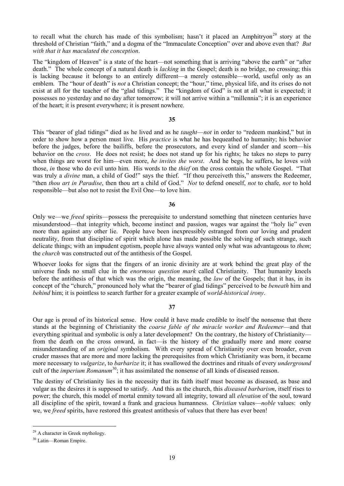to recall what the church has made of this symbolism; hasn't it placed an Amphitryon<sup>[29](#page-18-0)</sup> story at the threshold of Christian "faith," and a dogma of the "Immaculate Conception" over and above even that? *But with that it has maculated the conception*.

The "kingdom of Heaven" is a state of the heart—not something that is arriving "above the earth" or "after death." The whole concept of a natural death is *lacking* in the Gospel; death is no bridge, no crossing; this is lacking because it belongs to an entirely different—a merely ostensible—world, useful only as an emblem. The "hour of death" is *not* a Christian concept; the "hour," time, physical life, and its crises do not exist at all for the teacher of the "glad tidings." The "kingdom of God" is not at all what is expected; it possesses no yesterday and no day after tomorrow; it will not arrive within a "millennia"; it is an experience of the heart; it is present everywhere; it is present nowhere.

# **35**

This "bearer of glad tidings" died as he lived and as he *taught*—*not* in order to "redeem mankind," but in order to show how a person must live. His *practice* is what he has bequeathed to humanity; his behavior before the judges, before the bailiffs, before the prosecutors, and every kind of slander and scorn—his behavior on the *cross*. He does not resist; he does not stand up for his rights; he takes no steps to parry when things are worst for him—even more, *he invites the worst*. And he begs, he suffers, he loves *with* those, *in* those who do evil unto him. His words to the *thief* on the cross contain the whole Gospel. "That was truly a *divine* man, a child of God!" says the thief. "If thou perceiveth this," answers the Redeemer, "then *thou art in Paradise*, then thou art a child of God." *Not* to defend oneself, *not* to chafe, *not* to hold responsible—but also not to resist the Evil One—to love him.

#### **36**

Only we—we *freed* spirits—possess the prerequisite to understand something that nineteen centuries have misunderstood—that integrity which, become instinct and passion, wages war against the "holy lie" even more than against any other lie. People have been inexpressibly estranged from our loving and prudent neutrality, from that discipline of spirit which alone has made possible the solving of such strange, such delicate things; with an impudent egotism, people have always wanted only what was advantageous to *them*; the *church* was constructed out of the antithesis of the Gospel.

Whoever looks for signs that the fingers of an ironic divinity are at work behind the great play of the universe finds no small clue in the *enormous question mark* called Christianity. That humanity kneels before the antithesis of that which was the origin, the meaning, the *law* of the Gospels; that it has, in its concept of the "church," pronounced holy what the "bearer of glad tidings" perceived to be *beneath* him and *behind* him; it is pointless to search further for a greater example of *world-historical irony*.

# **37**

Our age is proud of its historical sense. How could it have made credible to itself the nonsense that there stands at the beginning of Christianity the *coarse fable of the miracle worker and Redeemer*—and that everything spiritual and symbolic is only a later development? On the contrary, the history of Christianity from the death on the cross onward, in fact—is the history of the gradually more and more coarse misunderstanding of an *original* symbolism. With every spread of Christianity over even broader, even cruder masses that are more and more lacking the prerequisites from which Christianity was born, it became more necessary to *vulgarize*, to *barbarize* it; it has swallowed the doctrines and rituals of every *underground* cult of the *imperium Romanum*<sup>30</sup>; it has assimilated the nonsense of all kinds of diseased reason.

The destiny of Christianity lies in the necessity that its faith itself must become as diseased, as base and vulgar as the desires it is supposed to satisfy. And this as the church, this *diseased barbarism*, itself rises to power; the church, this model of mortal enmity toward all integrity, toward all *elevation* of the soul, toward all discipline of the spirit, toward a frank and gracious humanness. *Christian* values—*noble* values: only we, we *freed* spirits, have restored this greatest antithesis of values that there has ever been!

<span id="page-18-0"></span> <sup>29</sup> A character in Greek mythology.

<span id="page-18-1"></span><sup>30</sup> Latin—Roman Empire.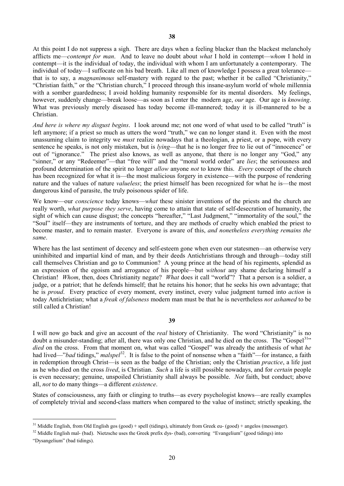At this point I do not suppress a sigh. There are days when a feeling blacker than the blackest melancholy afflicts me—*contempt for man*. And to leave no doubt about *what* I hold in contempt—*whom* I hold in contempt—it is the individual of today, the individual with whom I am unfortunately a contemporary. The individual of today—I suffocate on his bad breath. Like all men of knowledge I possess a great tolerance that is to say, a *magnanimous* self-mastery with regard to the past; whether it be called "Christianity," "Christian faith," or the "Christian church," I proceed through this insane-asylum world of whole millennia with a somber guardedness; I avoid holding humanity responsible for its mental disorders. My feelings, however, suddenly change—break loose—as soon as I enter the modern age, *our* age. Our age is *knowing*. What was previously merely diseased has today become ill-mannered; today it is ill-mannered to be a Christian.

*And here is where my disgust begins*. I look around me; not one word of what used to be called "truth" is left anymore; if a priest so much as utters the word "truth," we can no longer stand it. Even with the most unassuming claim to integrity we *must* realize nowadays that a theologian, a priest, or a pope, with every sentence he speaks, is not only mistaken, but is *lying*—that he is no longer free to lie out of "innocence" or out of "ignorance." The priest also knows, as well as anyone, that there is no longer any "God," any "sinner," or any "Redeemer"—that "free will" and the "moral world order" are *lies*; the seriousness and profound determination of the spirit no longer *allow* anyone *not* to know this. *Every* concept of the church has been recognized for what it is—the most malicious forgery in existence—with the purpose of rendering nature and the values of nature *valueless*; the priest himself has been recognized for what he is—the most dangerous kind of parasite, the truly poisonous spider of life.

We know—our *conscience* today knows—*what* these sinister inventions of the priests and the church are really worth, *what purpose they serve*, having come to attain that state of self-desecration of humanity, the sight of which can cause disgust; the concepts "hereafter," "Last Judgment," "immortality of the soul," the "Soul" itself—they are instruments of torture, and they are methods of cruelty which enabled the priest to become master, and to remain master. Everyone is aware of this, *and nonetheless everything remains the same*.

Where has the last sentiment of decency and self-esteem gone when even our statesmen—an otherwise very uninhibited and impartial kind of man, and by their deeds Antichristians through and through—today still call themselves Christian and go to Communion? A young prince at the head of his regiments, splendid as an expression of the egoism and arrogance of his people—but *without* any shame declaring himself a Christian! *Whom*, then, does Christianity negate? *What* does it call "world"? That a person is a soldier, a judge, or a patriot; that he defends himself; that he retains his honor; that he seeks his own advantage; that he is *proud*. Every practice of every moment, every instinct, every value judgment turned into *action* is today Antichristian; what a *freak of falseness* modern man must be that he is nevertheless *not ashamed* to be still called a Christian!

I will now go back and give an account of the *real* history of Christianity. The word "Christianity" is no doubt a misunder-standing; after all, there was only one Christian, and he died on the cross. The "Gospel<sup>31</sup>" *died* on the cross. From that moment on, what was called "Gospel" was already the antithesis of what *he* had lived—"*bad* tidings," *malspel*<sup>32</sup>. It is false to the point of nonsense when a "faith"—for instance, a faith in redemption through Christ—is seen as the badge of the Christian; only the Christian *practice*, a life just as he who died on the cross *lived*, is Christian. *Such* a life is still possible nowadays, and for *certain* people is even necessary; genuine, unspoiled Christianity shall always be possible. *Not* faith, but conduct; above all, *not* to do many things—a different *existence*.

States of consciousness, any faith or clinging to truths—as every psychologist knows—are really examples of completely trivial and second-class matters when compared to the value of instinct; strictly speaking, the

<span id="page-19-0"></span> $31$  Middle English, from Old English gos (good) + spell (tidings), ultimately from Greek eu- (good) + angelos (messenger).

<span id="page-19-1"></span><sup>&</sup>lt;sup>32</sup> Middle English mal- (bad). Nietzsche uses the Greek prefix dys- (bad), converting "Evangelium" (good tidings) into

<sup>&</sup>quot;Dysangelium" (bad tidings).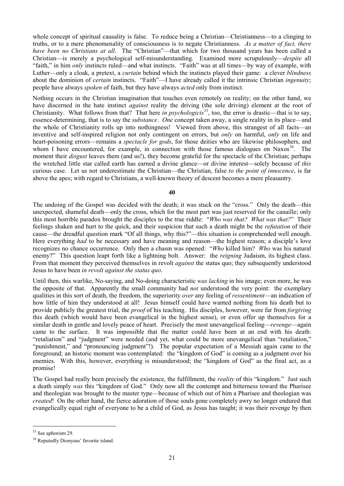whole concept of spiritual causality is false. To reduce being a Christian—Christianness—to a clinging to truths, or to a mere phenomenality of consciousness is to negate Christianness. *As a matter of fact, there have been no Christians at all.* The "Christian"—that which for two thousand years has been called a Christian—is merely a psychological self-misunderstanding. Examined more scrupulously—*despite* all "faith," in him *only* instincts ruled—and what instincts. "Faith" was at all times—by way of example, with Luther—only a cloak, a pretext, a *curtain* behind which the instincts played their game: a clever *blindness* about the dominion of *certain* instincts. "Faith"—I have already called it the intrinsic Christian *ingenuity*; people have always *spoken* of faith, but they have always *acted* only from instinct.

Nothing occurs in the Christian imagination that touches even remotely on reality; on the other hand, we have discerned in the hate instinct *against* reality the driving (the sole driving) element at the root of Christianity. What follows from that? That here *in psychologicis*<sup>[33](#page-20-0)</sup>, too, the error is drastic—that is to say, essence-determining, that is to say the *substance*. *One* concept taken away, a single reality in its place—and the whole of Christianity rolls up into nothingness! Viewed from above, this strangest of all facts—an inventive and self-inspired religion not only contingent on errors, but *only* on harmful, *only* on life and heart-poisoning errors—remains a *spectacle for gods*, for those deities who are likewise philosophers, and whom I have encountered, for example, in connection with those famous dialogues on Naxos<sup>[34](#page-20-1)</sup>. The moment their *disgust* leaves them (and us!), they become grateful for the spectacle of the Christian; perhaps the wretched little star called earth has earned a divine glance—or divine interest—solely because of *this* curious case. Let us not underestimate the Christian—the Christian, false *to the point of innocence*, is far above the apes; with regard to Christians, a well-known theory of descent becomes a mere pleasantry.

**40**

The undoing of the Gospel was decided with the death; it was stuck on the "cross." Only the death—this unexpected, shameful death—only the cross, which for the most part was just reserved for the canaille; only this most horrible paradox brought the disciples to the true riddle: "*Who was that? What was that?*" Their feelings shaken and hurt to the quick, and their suspicion that such a death might be the *refutation* of their cause—the dreadful question mark "Of all things, why this?"—this situation is comprehended well enough. Here everything *had* to be necessary and have meaning and reason—the highest reason; a disciple's love recognizes no chance occurrence. Only then a chasm was opened: "*Who* killed him? *Who* was his natural enemy?" This question leapt forth like a lightning bolt. Answer: the *reigning* Judaism, its highest class. From that moment they perceived themselves in revolt *against* the status quo; they subsequently understood Jesus to have been *in revolt against the status quo*.

Until then, this warlike, No-saying, and No-doing characteristic *was lacking* in his image; even more, he was the opposite of that. Apparently the small community had *not* understood the very point: the exemplary qualities in this sort of death, the freedom, the superiority *over* any feeling of *ressentiment*—an indication of how little of him they understood at all! Jesus himself could have wanted nothing from his death but to provide publicly the greatest trial, the *proof* of his teaching. His disciples, however, were far from *forgiving* this death (which would have been evangelical in the highest sense), or even offer up themselves for a similar death in gentle and lovely peace of heart. Precisely the most unevangelical feeling—*revenge*—again came to the surface. It was impossible that the matter could have been at an end with his death: "retaliation" and "judgment" were needed (and yet, what could be more unevangelical than "retaliation," "punishment," and "pronouncing judgment"!). The popular expectation of a Messiah again came to the foreground; an historic moment was contemplated: the "kingdom of God" is coming as a judgment over his enemies. With this, however, everything is misunderstood; the "kingdom of God" as the final act, as a promise!

The Gospel had really been precisely the existence, the fulfillment, the *reality* of this "kingdom." Just such a death simply *was* this "kingdom of God." Only now all the contempt and bitterness toward the Pharisee and theologian was brought to the master type—because of which out of him a Pharisee and theologian was *created*! On the other hand, the fierce adoration of those souls gone completely awry no longer endured that evangelically equal right of everyone to be a child of God, as Jesus has taught; it was their revenge by then

<span id="page-20-0"></span><sup>&</sup>lt;sup>33</sup> See aphorism 29.

<span id="page-20-1"></span><sup>&</sup>lt;sup>34</sup> Reputedly Dionysus' favorite island.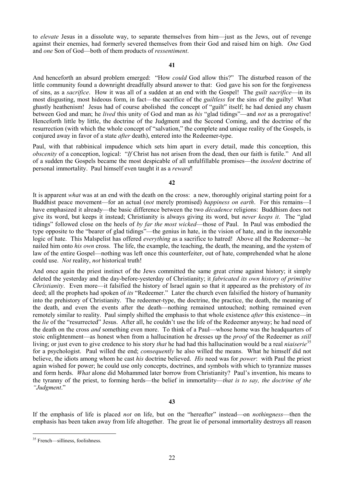to *elevate* Jesus in a dissolute way, to separate themselves from him—just as the Jews, out of revenge against their enemies, had formerly severed themselves from their God and raised him on high. *One* God and *one* Son of God—both of them products of *ressentiment*.

#### **41**

And henceforth an absurd problem emerged: "How *could* God allow this?" The disturbed reason of the little community found a downright dreadfully absurd answer to that: God gave his son for the forgiveness of sins, as a *sacrifice*. How it was all of a sudden at an end with the Gospel! The *guilt sacrifice*—in its most disgusting, most hideous form, in fact—the sacrifice of the *guiltless* for the sins of the guilty! What ghastly heathenism! Jesus had of course abolished the concept of "guilt" itself; he had denied any chasm between God and man; he *lived* this unity of God and man as *his* "glad tidings"—and *not* as a prerogative! Henceforth little by little, the doctrine of the Judgment and the Second Coming, and the doctrine of the resurrection (with which the whole concept of "salvation," the complete and unique reality of the Gospels, is conjured away in favor of a state *after* death), entered into the Redeemer-type.

Paul, with that rabbinical impudence which sets him apart in every detail, made this conception, this *obscenity* of a conception, logical: "*If* Christ has not arisen from the dead, then our faith is futile." And all of a sudden the Gospels became the most despicable of all unfulfillable promises—the *insolent* doctrine of personal immortality. Paul himself even taught it as a *reward*!

#### **42**

It is apparent *what* was at an end with the death on the cross: a new, thoroughly original starting point for a Buddhist peace movement—for an actual (*not* merely promised) *happiness on earth*. For this remains—I have emphasized it already—the basic difference between the two *décadence* religions: Buddhism does not give its word, but keeps it instead; Christianity is always giving its word, but *never keeps it*. The "glad tidings" followed close on the heels of *by far the most wicked*—those of Paul. In Paul was embodied the type opposite to the "bearer of glad tidings"—the genius in hate, in the vision of hate, and in the inexorable logic of hate. This Malspelist has offered *everything* as a sacrifice to hatred! Above all the Redeemer—he nailed him onto *his own* cross. The life, the example, the teaching, the death, the meaning, and the system of law of the entire Gospel—nothing was left once this counterfeiter, out of hate, comprehended what he alone could use. *Not* reality, *not* historical truth!

And once again the priest instinct of the Jews committed the same great crime against history; it simply deleted the yesterday and the day-before-yesterday of Christianity; it *fabricated its own history of primitive Christianity*. Even more—it falsified the history of Israel again so that it appeared as the prehistory of *its* deed; all the prophets had spoken of *its* "Redeemer." Later the church even falsified the history of humanity into the prehistory of Christianity. The redeemer-type, the doctrine, the practice, the death, the meaning of the death, and even the events after the death—nothing remained untouched; nothing remained even remotely similar to reality. Paul simply shifted the emphasis to that whole existence *after* this existence—in the *lie* of the "resurrected" Jesus. After all, he couldn't use the life of the Redeemer anyway; he had need of the death on the cross *and* something even more. To think of a Paul—whose home was the headquarters of stoic enlightenment—as honest when from a hallucination he dresses up the *proof* of the Redeemer as *still* living; or just even to give credence to his story *that* he had had this hallucination would be a real *niaiserie*<sup>[35](#page-21-0)</sup> for a psychologist. Paul willed the end; *consequently* he also willed the means. What he himself did not believe, the idiots among whom he cast *his* doctrine believed. *His* need was for *power*: with Paul the priest again wished for power; he could use only concepts, doctrines, and symbols with which to tyrannize masses and form herds. *What* alone did Mohammed later borrow from Christianity? Paul's invention, his means to the tyranny of the priest, to forming herds—the belief in immortality—*that is to say, the doctrine of the "Judgment*."

If the emphasis of life is placed *not* on life, but on the "hereafter" instead—on *nothingness*—then the emphasis has been taken away from life altogether. The great lie of personal immortality destroys all reason

<span id="page-21-0"></span> <sup>35</sup> French—silliness, foolishness.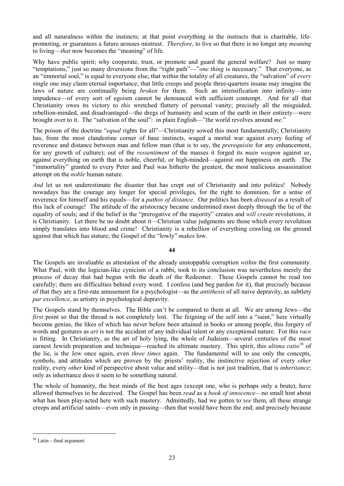and all naturalness within the instincts; at that point everything in the instincts that is charitable, lifepromoting, or guarantees a future arouses mistrust. *Therefore*, to live so that there is no longer any *meaning* to living—*that* now becomes the "meaning" of life.

Why have public spirit; why cooperate, trust, or promote and guard the general welfare? Just so many "temptations," just so many diversions from the "right path"—"*one thing* is necessary." That everyone, as an "immortal soul," is equal to everyone else, that within the totality of all creatures, the "salvation" of *every* single one may claim eternal importance; that little creeps and people three-quarters insane may imagine the laws of nature are continually being *broken* for them. Such an intensification into infinity—into impudence—of every sort of egoism cannot be denounced with sufficient contempt. And for all that Christianity owes its victory to *this* wretched flattery of personal vanity; precisely all the misguided, rebellion-minded, and disadvantaged—the dregs of humanity and scum of the earth in their entirety—were brought over to it. The "salvation of the soul": in plain English—"the world revolves around *me*."

The poison of the doctrine "*equal* rights for all"—Christianity sowed this most fundamentally; Christianity has, from the most clandestine corner of base instincts, waged a mortal war against every feeling of reverence and distance between man and fellow man (that is to say, the *prerequisite* for any enhancement, for any growth of culture); out of the *ressentiment* of the masses it forged its *main weapon* against *us*, against everything on earth that is noble, cheerful, or high-minded—against our happiness on earth. The "immortality" granted to every Peter and Paul was hitherto the greatest, the most malicious assassination attempt on the *noble* human nature.

*And* let us not underestimate the disaster that has crept out of Christianity and into politics! Nobody nowadays has the courage any longer for special privileges, for the right to dominion, for a sense of reverence for himself and his equals—for a *pathos of distance*. Our politics has been *diseased* as a result of this lack of courage! The attitude of the aristocracy became undermined most deeply through the lie of the equality of souls; and if the belief in the "prerogative of the majority" creates and *will create* revolutions, it is Christianity. Let there be no doubt about it—Christian value judgments are those which every revolution simply translates into blood and crime! Christianity is a rebellion of everything crawling on the ground against that which has stature; the Gospel of the "lowly" *makes* low.

# **44**

The Gospels are invaluable as attestation of the already unstoppable corruption *within* the first community. What Paul, with the logician-like cynicism of a rabbi, took to its conclusion was nevertheless merely the process of decay that had begun with the death of the Redeemer. These Gospels cannot be read too carefully; there are difficulties behind every word. I confess (and beg pardon for it), that precisely because of that they are a first-rate amusement for a psychologist—as the *antithesis* of all naive depravity, as subtlety *par excellence*, as artistry in psychological depravity.

The Gospels stand by themselves. The Bible can't be compared to them at all. We are among Jews—the *first* point so that the thread is not completely lost. The feigning of the self into a "saint," here virtually become genius, the likes of which has never before been attained in books or among people, this forgery of words and gestures as *art* is not the accident of any individual talent or any exceptional nature. For this *race* is fitting. In Christianity, as the art of holy lying, the whole of Judaism—several centuries of the most earnest Jewish preparation and technique—reached its ultimate mastery. This spirit, this *ultima ratio*<sup>[36](#page-22-0)</sup> of the lie, is the Jew once again, even *three times* again. The fundamental will to use only the concepts, symbols, and attitudes which are proven by the priests' reality, the instinctive rejection of every *other* reality, every *other* kind of perspective about value and utility—that is not just tradition, that is *inheritance*; only as inheritance does it seem to be something natural.

The whole of humanity, the best minds of the best ages (except one, who is perhaps only a brute), have allowed themselves to be deceived. The Gospel has been *read* as a *book of innocence*—no small hint about what has been play-acted here with such mastery. Admittedly, had we gotten to *see* them, all these strange creeps and artificial saints—even only in passing—then that would have been the end; and precisely because

<span id="page-22-0"></span> <sup>36</sup> Latin—final argument.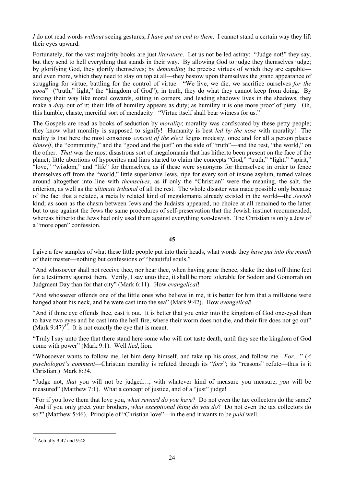*I* do not read words *without* seeing gestures, *I have put an end to them*. I cannot stand a certain way they lift their eyes upward.

Fortunately, for the vast majority books are just *literature*. Let us not be led astray: "Judge not!" they say, but they send to hell everything that stands in their way. By allowing God to judge they themselves judge; by glorifying God, they glorify themselves; by *demanding* the precise virtues of which they are capable and even more, which they need to stay on top at all—they bestow upon themselves the grand appearance of struggling for virtue, battling for the control of virtue. "We live, we die, we sacrifice ourselves *for the good*" ("truth," light," the "kingdom of God"); in truth, they do what they cannot keep from doing. By forcing their way like moral cowards, sitting in corners, and leading shadowy lives in the shadows, they make a *duty* out of it; their life of humility appears as duty; as humility it is one more proof of piety. Oh, this humble, chaste, merciful sort of mendacity! "Virtue itself shall bear witness for us."

The Gospels are read as books of seduction by *morality*; morality was confiscated by these petty people; they know what morality is supposed to signify! Humanity is best *led by the nose* with morality! The reality is that here the most conscious *conceit of the elect* feigns modesty; once and for all a person places *himself*, the "community," and the "good and the just" on the side of "truth"—and the rest, "the world," on the other. *That* was the most disastrous sort of megalomania that has hitherto been present on the face of the planet; little abortions of hypocrites and liars started to claim the concepts "God," "truth," "light," "spirit," "love," "wisdom," and "life" for themselves, as if these were synonyms for themselves; in order to fence themselves off from the "world," little superlative Jews, ripe for every sort of insane asylum, turned values around altogether into line with *themselves*, as if only the "Christian" were the meaning, the salt, the criterion, as well as the *ultimate tribunal* of all the rest. The whole disaster was made possible only because of the fact that a related, a racially related kind of megalomania already existed in the world—the *Jewish* kind; as soon as the chasm between Jews and the Judaists appeared, no choice at all remained to the latter but to use against the Jews the same procedures of self-preservation that the Jewish instinct recommended, whereas hitherto the Jews had only used them against everything *non*-Jewish. The Christian is only a Jew of a "more open" confession.

**45**

I give a few samples of what these little people put into their heads, what words they *have put into the mouth* of their master—nothing but confessions of "beautiful souls."

"And whosoever shall not receive thee, nor hear thee, when having gone thence, shake the dust off thine feet for a testimony against them. Verily, I say unto thee, it shall be more tolerable for Sodom and Gomorrah on Judgment Day than for that city" (Mark 6:11). How *evangelical*!

"And whosoever offends one of the little ones who believe in me, it is better for him that a millstone were hanged about his neck, and he were cast into the sea" (Mark 9:42). How *evangelical*!

"And if thine eye offends thee, cast it out. It is better that you enter into the kingdom of God one-eyed than to have two eyes and be cast into the hell fire, where their worm does not die, and their fire does not go out" (Mark 9:47)<sup>37</sup>. It is not exactly the eye that is meant.

"Truly I say unto thee that there stand here some who will not taste death, until they see the kingdom of God come with power" (Mark 9:1). Well *lied*, lion.

"Whosoever wants to follow me, let him deny himself, and take up his cross, and follow me. *For*…" (*A psychologist's comment*—Christian morality is refuted through its "*fors*"; its "reasons" refute—thus is it Christian.) Mark 8:34.

"Judge not, *that* you will not be judged…, with whatever kind of measure you measure, *you* will be measured" (Matthew 7:1). What a concept of justice, and of a "just" judge!

"For if you love them that love you, *what reward do you have*? Do not even the tax collectors do the same? And if you only greet your brothers, *what exceptional thing do you do*? Do not even the tax collectors do so?" (Matthew 5:46). Principle of "Christian love"—in the end it wants to be *paid* well.

<span id="page-23-0"></span> <sup>37</sup> Actually 9:47 and 9:48.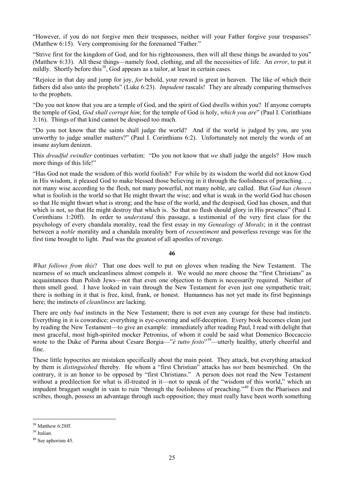"However, if you do not forgive men their trespasses, neither will your Father forgive your trespasses" (Matthew 6:15). Very compromising for the forenamed "Father."

"Strive first for the kingdom of God, and for his righteousness, then will all these things be awarded to you" (Matthew 6:33). All these things—namely food, clothing, and all the necessities of life. An *error*, to put it mildly. Shortly before this<sup>38</sup>, God appears as a tailor, at least in certain cases.

"Rejoice in that day and jump for joy, *for* behold, your reward is great in heaven. The like of which their fathers did also unto the prophets" (Luke 6:23). *Impudent* rascals! They are already comparing themselves to the prophets.

"Do you not know that you are a temple of God, and the spirit of God dwells within you? If anyone corrupts the temple of God, *God shall corrupt him*; for the temple of God is holy, *which you are*" (Paul I. Corinthians 3:16). Things of that kind cannot be despised too much.

"Do you not know that the saints shall judge the world? And if the world is judged by you, are you unworthy to judge smaller matters?" (Paul I. Corinthians 6:2). Unfortunately not merely the words of an insane asylum denizen.

This *dreadful swindler* continues verbatim: "Do you not know that *we* shall judge the angels? How much more things of this life!"

"Has God not made the wisdom of this world foolish? For while by its wisdom the world did not know God in His wisdom, it pleased God to make blessed those believing in it through the foolishness of preaching. . ., not many wise according to the flesh, not many powerful, not many noble, are called. But *God has chosen* what is foolish in the world so that He might thwart the wise; and what is weak in the world God has chosen so that He might thwart what is strong; and the base of the world, and the despised, God has chosen, and that which is not, so that He might destroy that which is. So that no flesh should glory in His presence" (Paul I. Corinthians 1:20ff). In order to *understand* this passage, a testimonial of the very first class for the psychology of every chandala morality, read the first essay in my *Genealogy of Morals*; in it the contrast between a *noble* morality and a chandala morality born of *ressentiment* and powerless revenge was for the first time brought to light. Paul was the greatest of all apostles of revenge.

# **46**

*What follows from this*? That one does well to put on gloves when reading the New Testament. The nearness of so much uncleanliness almost compels it. We would no more choose the "first Christians" as acquaintances than Polish Jews—not that even one objection to them is necessarily required. Neither of them smell good. I have looked in vain through the New Testament for even just one sympathetic trait; there is nothing in it that is free, kind, frank, or honest. Humanness has not yet made its first beginnings here; the instincts of *cleanliness* are lacking.

There are only *bad* instincts in the New Testament; there is not even any courage for these bad instincts. Everything in it is cowardice; everything is eye-covering and self-deception. Every book becomes clean just by reading the New Testament—to give an example: immediately after reading Paul, I read with delight that most graceful, most high-spirited mocker Petronius, of whom it could be said what Domenico Boccaccio wrote to the Duke of Parma about Cesare Borgia—"*é tutto festo*"<sup>39</sup>—utterly healthy, utterly cheerful and fine.

These little hypocrites are mistaken specifically about the main point. They attack, but everything attacked by them is *distinguished* thereby. He whom a "first Christian" attacks has *not* been besmirched. On the contrary, it is an honor to be opposed by "first Christians." A person does not read the New Testament without a predilection for what is ill-treated in it—not to speak of the "wisdom of this world," which an impudent braggart sought in vain to ruin "through the foolishness of preaching."[40](#page-24-2) Even the Pharisees and scribes, though, possess an advantage through such opposition; they must really have been worth something

<span id="page-24-0"></span><sup>&</sup>lt;sup>38</sup> Matthew 6:28ff.

<span id="page-24-1"></span><sup>39</sup> Italian.

<span id="page-24-2"></span> $40$  See aphorism 45.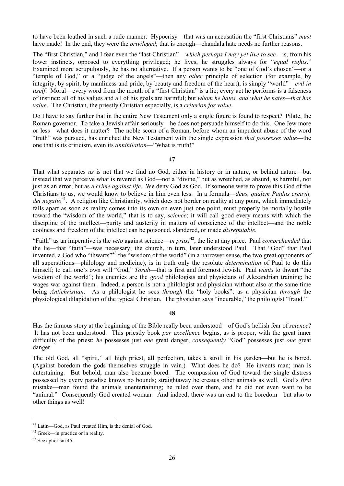to have been loathed in such a rude manner. Hypocrisy—that was an accusation the "first Christians" *must* have made! In the end, they were the *privileged*; that is enough—chandala hate needs no further reasons.

The "first Christian," and I fear even the "last Christian"—*which perhaps I may yet live to see*—is, from his lower instincts, opposed to everything privileged; he lives, he struggles always for "*equal rights*." Examined more scrupulously, he has no alternative. If a person wants to be "one of God's chosen"—or a "temple of God," or a "judge of the angels"—then any *other* principle of selection (for example, by integrity, by spirit, by manliness and pride, by beauty and freedom of the heart), is simply "world"—*evil in itself*. Moral—every word from the mouth of a "first Christian" is a lie; every act he performs is a falseness of instinct; all of his values and all of his goals are harmful; but *whom he hates, and what he hates—that has value*. The Christian, the priestly Christian especially, is a *criterion for value*.

Do I have to say further that in the entire New Testament only a single figure is found to respect? Pilate, the Roman governor. To take a Jewish affair seriously—he does not persuade himself to do this. One Jew more or less—what does it matter? The noble scorn of a Roman, before whom an impudent abuse of the word "truth" was pursued, has enriched the New Testament with the single expression *that possesses value*—the one that is its criticism, even its *annihilation*—"What is truth!"

# **47**

That what separates *us* is not that we find no God, either in history or in nature, or behind nature—but instead that we perceive what is revered as God—not a "divine," but as wretched, as absurd, as harmful, not just as an error, but as a *crime against life*. We deny God as God. If someone were to prove this God of the Christians to us, we would know to believe in him even less. In a formula—*deus, qualem Paulus creavit, dei negatio*[41](#page-25-0). A religion like Christianity, which does not border on reality at any point, which immediately falls apart as soon as reality comes into its own on even just one point, must properly be mortally hostile toward the "wisdom of the world," that is to say, *science*; it will call good every means with which the discipline of the intellect—purity and austerity in matters of conscience of the intellect—and the noble coolness and freedom of the intellect can be poisoned, slandered, or made *disreputable*.

"Faith" as an imperative is the *veto* against science—*in praxi*[42](#page-25-1), the lie at any price. Paul *comprehended* that the lie—that "faith"—was necessary; the church, in turn, later understood Paul. That "God" that Paul invented, a God who "thwarts"<sup>[43](#page-25-2)</sup> the "wisdom of the world" (in a narrower sense, the two great opponents of all superstitions—philology and medicine), is in truth only the resolute *determination* of Paul to do this himself; to call one's own will "God," *Torah*—that is first and foremost Jewish. Paul *wants* to thwart "the wisdom of the world"; his enemies are the *good* philologists and physicians of Alexandrian training; he wages war against them. Indeed, a person is not a philologist and physician without also at the same time being *Antichristian*. As a philologist he sees *through* the "holy books"; as a physician *through* the physiological dilapidation of the typical Christian. The physician says "incurable," the philologist "fraud."

# **48**

Has the famous story at the beginning of the Bible really been understood—of God's hellish fear of *science*? It has not been understood. This priestly book *par excellence* begins, as is proper, with the great inner difficulty of the priest; *he* possesses just *one* great danger, *consequently* "God" possesses just *one* great danger.

The old God, all "spirit," all high priest, all perfection, takes a stroll in his garden—but he is bored. (Against boredom the gods themselves struggle in vain.) What does he do? He invents man; man is entertaining. But behold, man also became bored. The compassion of God toward the single distress possessed by every paradise knows no bounds; straightaway he creates other animals as well. God's *first* mistake—man found the animals unentertaining; he ruled over them, and he did not even want to be "animal." Consequently God created woman. And indeed, there was an end to the boredom—but also to other things as well!

<span id="page-25-0"></span> <sup>41</sup> Latin—God, as Paul created Him, is the denial of God.

<span id="page-25-1"></span><sup>42</sup> Greek—in practice or in reality.

<span id="page-25-2"></span><sup>43</sup> See aphorism 45.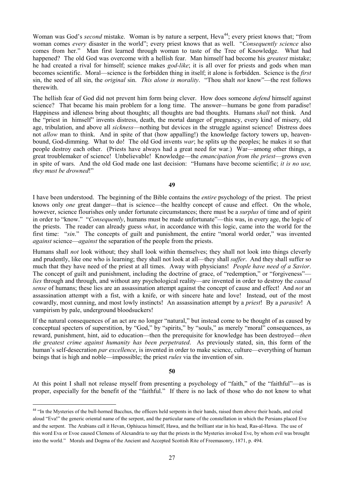Woman was God's *second* mistake. Woman is by nature a serpent, Heva<sup>44</sup>; every priest knows that; "from woman comes *every* disaster in the world"; every priest knows that as well. "*Consequently science* also comes from her." Man first learned through woman to taste of the Tree of Knowledge. What had happened? The old God was overcome with a hellish fear. Man himself had become his *greatest* mistake; he had created a rival for himself; science makes *god-like*; it is all over for priests and gods when man becomes scientific. Moral—science is the forbidden thing in itself; it alone is forbidden. Science is the *first* sin, the seed of all sin, the *original* sin. *This alone is morality*. "Thou shalt *not* know"—the rest follows therewith.

The hellish fear of God did not prevent him form being clever. How does someone *defend* himself against science? That became his main problem for a long time. The answer—humans be gone from paradise! Happiness and idleness bring about thoughts; all thoughts are bad thoughts. Humans *shall* not think. And the "priest in himself" invents distress, death, the mortal danger of pregnancy, every kind of misery, old age, tribulation, and above all *sickness*—nothing but devices in the struggle against science! Distress does not *allow* man to think. And in spite of that (how appalling!) the knowledge factory towers up, heavenbound, God-dimming. What to do! The old God invents *war*; he splits up the peoples; he makes it so that people destroy each other. (Priests have always had a great need for war.) War—among other things, a great troublemaker of science! Unbelievable! Knowledge—the *emancipation from the priest*—grows even in spite of wars. And the old God made one last decision: "Humans have become scientific; *it is no use, they must be drowned*!"

**49**

I have been understood. The beginning of the Bible contains the *entire* psychology of the priest. The priest knows only *one* great danger—that is science—the healthy concept of cause and effect. On the whole, however, science flourishes only under fortunate circumstances; there must be a *surplus* of time and of spirit in order to "know." "*Consequently*, humans must be made unfortunate"—this was, in every age, the logic of the priests. The reader can already guess *what*, in accordance with this logic, came into the world for the first time: "*sin*." The concepts of guilt and punishment, the entire "moral world order," was invented *against* science—*against* the separation of the people from the priests.

Humans shall *not* look without; they shall look within themselves; they shall not look into things cleverly and prudently, like one who is learning; they shall not look at all—they shall *suffer*. And they shall suffer so much that they have need of the priest at all times. Away with physicians! *People have need of a Savior*. The concept of guilt and punishment, including the doctrine of grace, of "redemption," or "forgiveness" *lies* through and through, and without any psychological reality—are invented in order to destroy the *causal sense* of humans; these lies are an assassination attempt against the concept of cause and effect! And *not* an assassination attempt with a fist, with a knife, or with sincere hate and love! Instead, out of the most cowardly, most cunning, and most lowly instincts! An assassination attempt by a *priest*! By a *parasite*! A vampirism by pale, underground bloodsuckers!

If the natural consequences of an act are no longer "natural," but instead come to be thought of as caused by conceptual specters of superstition, by "God," by "spirits," by "souls," as merely "moral" consequences, as reward, punishment, hint, aid to education—then the prerequisite for knowledge has been destroyed—*then the greatest crime against humanity has been perpetrated*. As previously stated, sin, this form of the human's self-desecration *par excellence*, is invented in order to make science, culture—everything of human beings that is high and noble—impossible; the priest *rules* via the invention of sin.

#### **50**

At this point I shall not release myself from presenting a psychology of "faith," of the "faithful"—as is proper, especially for the benefit of the "faithful." If there is no lack of those who do not know to what

<span id="page-26-0"></span><sup>&</sup>lt;sup>44</sup> "In the Mysteries of the bull-horned Bacchus, the officers held serpents in their hands, raised them above their heads, and cried aloud "Eva!" the generic oriental name of the serpent, and the particular name of the constellation in which the Persians placed Eve and the serpent. The Arabians call it Hevan, Ophiucus himself, Hawa, and the brilliant star in his head, Ras-al-Hawa. The use of this word Eva or Evoe caused Clemens of Alexandria to say that the priests in the Mysteries invoked Eve, by whom evil was brought into the world." Morals and Dogma of the Ancient and Accepted Scottish Rite of Freemasonry, 1871, p. 494.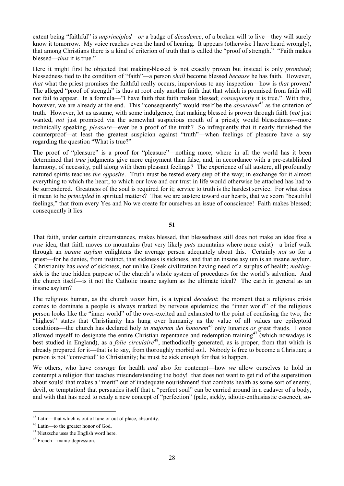extent being "faithful" is *unprincipled*—*or* a badge of *décadence*, of a broken will to live—they will surely know it tomorrow. My voice reaches even the hard of hearing. It appears (otherwise I have heard wrongly), that among Christians there is a kind of criterion of truth that is called the "proof of strength." "Faith makes blessed—*thus* it is true."

Here it might first be objected that making-blessed is not exactly proven but instead is only *promised*; blessedness tied to the condition of "faith"—a person *shall* become blessed *because* he has faith. However, *that* what the priest promises the faithful really occurs, impervious to any inspection—how is *that* proven? The alleged "proof of strength" is thus at root only another faith that that which is promised from faith will not fail to appear. In a formula—"I have faith that faith makes blessed; *consequently* it is true." With this, however, we are already at the end. This "consequently" would itself be the *absurdum*<sup>[45](#page-27-0)</sup> as the criterion of truth. However, let us assume, with some indulgence, that making blessed is proven through faith (*not* just wanted, *not* just promised via the somewhat suspicious mouth of a priest); would blessedness—more technically speaking, *pleasure*—ever be a proof of the truth? So infrequently that it nearly furnished the counterproof—at least the greatest suspicion against "truth"—when feelings of pleasure have a say regarding the question "What is true?"

The proof of "pleasure" is a proof for "pleasure"—nothing more; where in all the world has it been determined that *true* judgments give more enjoyment than false, and, in accordance with a pre-established harmony, of necessity, pull along with them pleasant feelings? The experience of all austere, all profoundly natured spirits teaches *the opposite*. Truth must be tested every step of the way; in exchange for it almost everything to which the heart, to which our love and our trust in life would otherwise be attached has had to be surrendered. Greatness of the soul is required for it; service to truth is the hardest service. For what does it mean to be *principled* in spiritual matters? That we are austere toward our hearts, that we scorn "beautiful feelings," that from every Yes and No we create for ourselves an issue of conscience! Faith makes blessed; consequently it lies.

**51**

That faith, under certain circumstances, makes blessed, that blessedness still does not make an idee fixe a *true* idea, that faith moves no mountains (but very likely *puts* mountains where none exist)—a brief walk through an *insane asylum* enlightens the average person adequately about this. Certainly *not* so for a priest—for he denies, from instinct, that sickness is sickness, and that an insane asylum is an insane asylum. Christianity has *need* of sickness, not unlike Greek civilization having need of a surplus of health; *making*sick is the true hidden purpose of the church's whole system of procedures for the world's salvation. And the church itself—is it not the Catholic insane asylum as the ultimate ideal? The earth in general as an insane asylum?

The religious human, as the church *wants* him, is a typical *decadent*; the moment that a religious crisis comes to dominate a people is always marked by nervous epidemics; the "inner world" of the religious person looks like the "inner world" of the over-excited and exhausted to the point of confusing the two; the "highest" states that Christianity has hung over humanity as the value of all values are epileptoid conditions—the church has declared holy *in majorum dei honorem*<sup>[46](#page-27-1)</sup> only lunatics *or* great frauds. I once allowed myself to designate the entire Christian repentance and redemption training<sup>[47](#page-27-2)</sup> (which nowadays is best studied in England), as a *folie circulaire*<sup>48</sup>, methodically generated, as is proper, from that which is already prepared for it—that is to say, from thoroughly morbid soil. Nobody is free to become a Christian; a person is not "converted" to Christianity; he must be sick enough for that to happen.

We others, who have *courage* for health *and* also for contempt—how *we* allow ourselves to hold in contempt a religion that teaches misunderstanding the body! that does not want to get rid of the superstition about souls! that makes a "merit" out of inadequate nourishment! that combats health as some sort of enemy, devil, or temptation! that persuades itself that a "perfect soul" can be carried around in a cadaver of a body, and with that has need to ready a new concept of "perfection" (pale, sickly, idiotic-enthusiastic essence), so-

<span id="page-27-0"></span> <sup>45</sup> Latin—that which is out of tune or out of place, absurdity.

<span id="page-27-1"></span><sup>46</sup> Latin—to the greater honor of God.

<span id="page-27-2"></span><sup>47</sup> Nietzsche uses the English word here.

<span id="page-27-3"></span><sup>48</sup> French—manic-depression.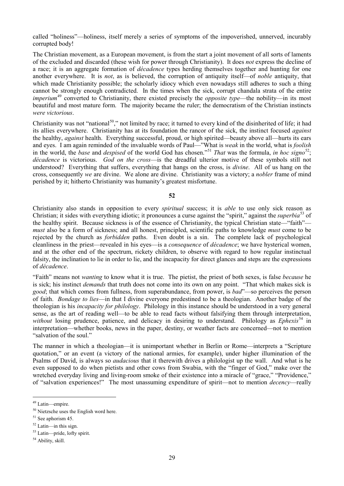called "holiness"—holiness, itself merely a series of symptoms of the impoverished, unnerved, incurably corrupted body!

The Christian movement, as a European movement, is from the start a joint movement of all sorts of laments of the excluded and discarded (these wish for power through Christianity). It does *not* express the decline of a race; it is an aggregate formation of *décadence* types herding themselves together and hunting for one another everywhere. It is *not*, as is believed, the corruption of antiquity itself—of *noble* antiquity, that which made Christianity possible; the scholarly idiocy which even nowadays still adheres to such a thing cannot be strongly enough contradicted. In the times when the sick, corrupt chandala strata of the entire *imperium*<sup>[49](#page-28-0)</sup> converted to Christianity, there existed precisely the *opposite type*—the nobility—in its most beautiful and most mature form. The majority became the ruler; the democratism of the Christian instincts *were victorious*.

Christianity was not "national<sup>[50](#page-28-1)</sup>," not limited by race; it turned to every kind of the disinherited of life; it had its allies everywhere. Christianity has at its foundation the rancor of the sick, the instinct focused *against* the healthy, *against* health. Everything successful, proud, or high spirited—beauty above all—hurts its ears and eyes. I am again reminded of the invaluable words of Paul—"What is *weak* in the world, what is *foolish* in the world, the *base* and *despised* of the world God has chosen."[51](#page-28-2) *That* was the formula, *in hoc signo*[52;](#page-28-3) *décadence* is victorious. *God on the cross*—is the dreadful ulterior motive of these symbols still not understood? Everything that suffers, everything that hangs on the cross, is *divine*. All of us hang on the cross, consequently *we* are divine. We alone are divine. Christianity was a victory; a *nobler* frame of mind perished by it; hitherto Christianity was humanity's greatest misfortune.

# **52**

Christianity also stands in opposition to every *spiritual* success; it is *able* to use only sick reason as Christian; it sides with everything idiotic; it pronounces a curse against the "spirit," against the *superbia*[53](#page-28-4) of the healthy spirit. Because sickness is of the essence of Christianity, the typical Christian state—"faith" *must* also be a form of sickness; and all honest, principled, scientific paths to knowledge *must* come to be rejected by the church as *forbidden* paths. Even doubt is a sin. The complete lack of psychological cleanliness in the priest—revealed in his eyes—is a *consequence* of *décadence*; we have hysterical women, and at the other end of the spectrum, rickety children, to observe with regard to how regular instinctual falsity, the inclination to lie in order to lie, and the incapacity for direct glances and steps are the expressions of *décadence*.

"Faith" means not *wanting* to know what it is true. The pietist, the priest of both sexes, is false *because* he is sick; his instinct *demands* that truth does not come into its own on any point. "That which makes sick is *good*; that which comes from fullness, from superabundance, from power, is *bad*"—so perceives the person of faith. *Bondage to lies*—in that I divine everyone predestined to be a theologian. Another badge of the theologian is his *incapacity for philology*. Philology in this instance should be understood in a very general sense, as the art of reading well—to be able to read facts without falsifying them through interpretation, *without* losing prudence, patience, and delicacy in desiring to understand. Philology as *Ephexis*<sup>[54](#page-28-5)</sup> in interpretation—whether books, news in the paper, destiny, or weather facts are concerned—not to mention "salvation of the soul."

The manner in which a theologian—it is unimportant whether in Berlin or Rome—interprets a "Scripture quotation," or an event (a victory of the national armies, for example), under higher illumination of the Psalms of David, is always so *audacious* that it therewith drives a philologist up the wall. And what is he even supposed to do when pietists and other cows from Swabia, with the "finger of God," make over the wretched everyday living and living-room smoke of their existence into a miracle of "grace," "Providence," of "salvation experiences!" The most unassuming expenditure of spirit—not to mention *decency*—really

<span id="page-28-0"></span> <sup>49</sup> Latin—empire.

<span id="page-28-1"></span><sup>50</sup> Nietzsche uses the English word here.

<span id="page-28-2"></span><sup>51</sup> See aphorism 45.

<span id="page-28-3"></span> $52$  Latin—in this sign.

<span id="page-28-4"></span><sup>53</sup> Latin—pride, lofty spirit.

<span id="page-28-5"></span><sup>&</sup>lt;sup>54</sup> Ability, skill.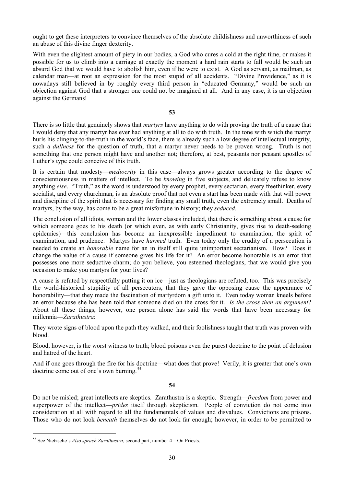ought to get these interpreters to convince themselves of the absolute childishness and unworthiness of such an abuse of this divine finger dexterity.

With even the slightest amount of piety in our bodies, a God who cures a cold at the right time, or makes it possible for us to climb into a carriage at exactly the moment a hard rain starts to fall would be such an absurd God that we would have to abolish him, even if he were to exist. A God as servant, as mailman, as calendar man—at root an expression for the most stupid of all accidents. "Divine Providence," as it is nowadays still believed in by roughly every third person in "educated Germany," would be such an objection against God that a stronger one could not be imagined at all. And in any case, it is an objection against the Germans!

**53**

There is so little that genuinely shows that *martyrs* have anything to do with proving the truth of a cause that I would deny that any martyr has ever had anything at all to do with truth. In the tone with which the martyr hurls his clinging-to-the-truth in the world's face, there is already such a low degree of intellectual integrity, such a *dullness* for the question of truth, that a martyr never needs to be proven wrong. Truth is not something that one person might have and another not; therefore, at best, peasants nor peasant apostles of Luther's type could conceive of this truth.

It is certain that modesty—*mediocrity* in this case—always grows greater according to the degree of conscientiousness in matters of intellect. To be *knowing* in five subjects, and delicately refuse to know anything *else*. "Truth," as the word is understood by every prophet, every sectarian, every freethinker, every socialist, and every churchman, is an absolute proof that not even a start has been made with that will power and discipline of the spirit that is necessary for finding any small truth, even the extremely small. Deaths of martyrs, by the way, has come to be a great misfortune in history; they *seduced*.

The conclusion of all idiots, woman and the lower classes included, that there is something about a cause for which someone goes to his death (or which even, as with early Christianity, gives rise to death-seeking epidemics)—this conclusion has become an inexpressible impediment to examination, the spirit of examination, and prudence. Martyrs have *harmed* truth. Even today only the crudity of a persecution is needed to create an *honorable* name for an in itself still quite unimportant sectarianism. How? Does it change the value of a cause if someone gives his life for it? An error become honorable is an error that possesses one more seductive charm; do you believe, you esteemed theologians, that we would give you occasion to make you martyrs for your lives?

A cause is refuted by respectfully putting it on ice—just as theologians are refuted, too. This was precisely the world-historical stupidity of all persecutors, that they gave the opposing cause the appearance of honorability—that they made the fascination of martyrdom a gift unto it. Even today woman kneels before an error because she has been told that someone died on the cross for it. *Is the cross then an argument*? About all these things, however, one person alone has said the words that have been necessary for millennia—*Zarathustra*:

They wrote signs of blood upon the path they walked, and their foolishness taught that truth was proven with blood.

Blood, however, is the worst witness to truth; blood poisons even the purest doctrine to the point of delusion and hatred of the heart.

And if one goes through the fire for his doctrine—what does that prove! Verily, it is greater that one's own doctrine come out of one's own burning.<sup>[55](#page-29-0)</sup>

#### **54**

Do not be misled; great intellects are skeptics. Zarathustra is a skeptic. Strength—*freedom* from power and superpower of the intellect—*prides* itself through skepticism. People of conviction do not come into consideration at all with regard to all the fundamentals of values and disvalues. Convictions are prisons. Those who do not look *beneath* themselves do not look far enough; however, in order to be permitted to

<span id="page-29-0"></span> <sup>55</sup> See Nietzsche's *Also sprach Zarathustra*, second part, number 4—On Priests.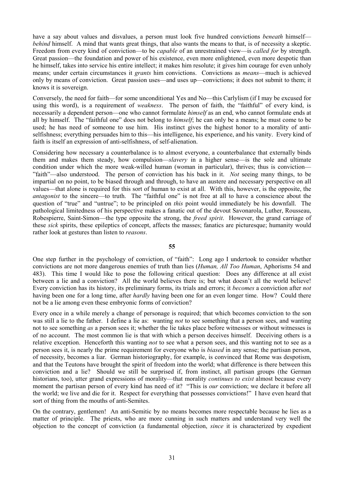have a say about values and disvalues, a person must look five hundred convictions *beneath* himself *behind* himself. A mind that wants great things, that also wants the means to that, is of necessity a skeptic. Freedom from every kind of conviction—to be *capable* of an unrestrained view—is *called for* by strength. Great passion—the foundation and power of his existence, even more enlightened, even more despotic than he himself, takes into service his entire intellect; it makes him resolute; it gives him courage for even unholy means; under certain circumstances it *grants* him convictions. Convictions as *means*—much is achieved only by means of conviction. Great passion uses—and uses up—convictions; it does not submit to them; it knows it is sovereign.

Conversely, the need for faith—for some unconditional Yes and No—this Carlylism (if I may be excused for using this word), is a requirement of *weakness*. The person of faith, the "faithful" of every kind, is necessarily a dependent person—one who cannot formulate *himself* as an end, who cannot formulate ends at all by himself. The "faithful one" does not belong to *himself*; he can only be a means; he must come to be used; he has need of someone to use him. His instinct gives the highest honor to a morality of antiselfishness; everything persuades him to this—his intelligence, his experience, and his vanity. Every kind of faith is itself an expression of anti-selfishness, of self-alienation.

Considering how necessary a counterbalance is to almost everyone, a counterbalance that externally binds them and makes them steady, how compulsion—*slavery* in a higher sense—is the sole and ultimate condition under which the more weak-willed human (woman in particular), thrives; thus is conviction— "faith"—also understood. The person of conviction has his back in it. *Not* seeing many things, to be impartial on no point, to be biased through and through, to have an austere and necessary perspective on all values—that alone is required for this sort of human to exist at all. With this, however, is the opposite, the *antagonist* to the sincere—to truth. The "faithful one" is not free at all to have a conscience about the question of "true" and "untrue"; to be principled on *this* point would immediately be his downfall. The pathological limitedness of his perspective makes a fanatic out of the devout Savonarola, Luther, Rousseau, Robespierre, Saint-Simon—the type opposite the strong, the *freed spirit*. However, the grand carriage of these *sick* spirits, these epileptics of concept, affects the masses; fanatics are picturesque; humanity would rather look at gestures than listen to *reasons*.

**55**

One step further in the psychology of conviction, of "faith": Long ago I undertook to consider whether convictions are not more dangerous enemies of truth than lies (*Human, All Too Human*, Aphorisms 54 and 483). This time I would like to pose the following critical question: Does any difference at all exist between a lie and a conviction? All the world believes there is; but what doesn't all the world believe! Every conviction has its history, its preliminary forms, its trials and errors; it *becomes* a conviction after *not* having been one for a long time, after *hardly* having been one for an even longer time. How? Could there not be a lie among even these embryonic forms of conviction?

Every once in a while merely a change of personage is required; that which becomes conviction to the son was still a lie to the father. I define a lie as: wanting *not* to see something that a person sees, and wanting not to see something *as* a person sees it; whether the lie takes place before witnesses or without witnesses is of no account. The most common lie is that with which a person deceives himself. Deceiving others is a relative exception. Henceforth this wanting *not* to see what a person sees, and this wanting not to see as a person sees it, is nearly the prime requirement for everyone who is *biased* in any sense; the partisan person, of necessity, becomes a liar. German historiography, for example, is convinced that Rome was despotism, and that the Teutons have brought the spirit of freedom into the world; what difference is there between this conviction and a lie? Should we still be surprised if, from instinct, all partisan groups (the German historians, too), utter grand expressions of morality—that morality *continues to exist* almost because every moment the partisan person of every kind has need of it? "This is *our* conviction; we declare it before all the world; we live and die for it. Respect for everything that possesses convictions!" I have even heard that sort of thing from the mouths of anti-Semites.

On the contrary, gentlemen! An anti-Semitic by no means becomes more respectable because he lies as a matter of principle. The priests, who are more cunning in such matters and understand very well the objection to the concept of conviction (a fundamental objection, *since* it is characterized by expedient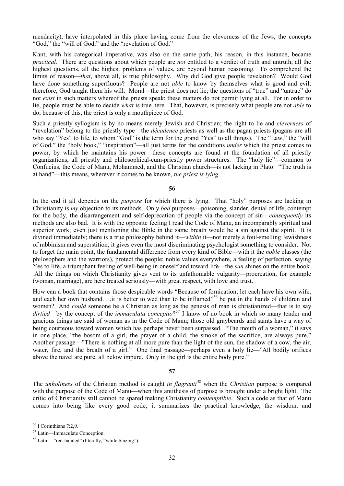mendacity), have interpolated in this place having come from the cleverness of the Jews, the concepts "God," the "will of God," and the "revelation of God."

Kant, with his categorical imperative, was also on the same path; his reason, in this instance, became *practical*. There are questions about which people are *not* entitled to a verdict of truth and untruth; all the highest questions, all the highest problems of values, are beyond human reasoning. To comprehend the limits of reason—*that*, above all, is true philosophy. Why did God give people revelation? Would God have done something superfluous? People are not *able* to know by themselves what is good and evil; therefore, God taught them his will. Moral—the priest does not lie; the questions of "true" and "untrue" do not *exist* in such matters whereof the priests speak; these matters do not permit lying at all. For in order to lie, people must be able to decide *what* is true here. That, however, is precisely what people are not *able* to do; because of this, the priest is only a mouthpiece of God.

Such a priestly syllogism is by no means merely Jewish and Christian; the right to lie and *cleverness* of "revelation" belong to the priestly type—the *décadence* priests as well as the pagan priests (pagans are all who say "Yes" to life, to whom "God" is the term for the grand "Yes" to all things). The "Law," the "will of God," the "holy book," "inspiration"—all just terms for the conditions *under* which the priest comes to power, by which he maintains his power—these concepts are found at the foundation of all priestly organizations, all priestly and philosophical-cum-priestly power structures. The "holy lie"—common to Confucius, the Code of Manu, Mohammed, and the Christian church—is not lacking in Plato: "The truth is at hand"—this means, wherever it comes to be known, *the priest is lying*.

**56**

In the end it all depends on the *purpose* for which there is lying. That "holy" purposes are lacking in Christianity is *my* objection to its methods. Only *bad* purposes—poisoning, slander, denial of life, contempt for the body, the disarrangement and self-deprecation of people via the concept of sin—*consequently* its methods are also bad. It is with the opposite feeling I read the Code of Manu, an incomparably spiritual and superior work; even just mentioning the Bible in the same breath would be a sin against the spirit. It is divined immediately; there is a true philosophy behind it—*within* it—not merely a foul-smelling Jewishness of rabbinism and superstition; it gives even the most discriminating psychologist something to consider. Not to forget the main point, the fundamental difference from every kind of Bible—with it the *noble* classes (the philosophers and the warriors), protect the people; noble values everywhere, a feeling of perfection, saying Yes to life, a triumphant feeling of well-being in oneself and toward life—the *sun* shines on the entire book. All the things on which Christianity gives vent to its unfathomable vulgarity—procreation, for example (woman, marriage), are here treated seriously—with great respect, with love and trust.

How can a book that contains those despicable words "Because of fornication, let each have his own wife, and each her own husband. . .it is better to wed than to be inflamed"<sup>[56](#page-31-0)</sup> be put in the hands of children and women? And *could* someone be a Christian as long as the genesis of man is christianized—that is to say dirtied—by the concept of the *immaculata conceptio*?<sup>[57](#page-31-1)</sup> I know of no book in which so many tender and gracious things are said of woman as in the Code of Manu; those old graybeards and saints have a way of being courteous toward women which has perhaps never been surpassed. "The mouth of a woman," it says in one place, "the bosom of a girl, the prayer of a child, the smoke of the sacrifice, are always pure." Another passage—"There is nothing at all more pure than the light of the sun, the shadow of a cow, the air, water, fire, and the breath of a girl." One final passage—perhaps even a holy lie—"All bodily orifices above the navel are pure, all below impure. Only in the girl is the entire body pure."

#### **57**

The *unholiness* of the Christian method is caught *in flagranti*[58](#page-31-2) when the *Christian* purpose is compared with the purpose of the Code of Manu—when this antithesis of purpose is brought under a bright light. The critic of Christianity still cannot be spared making Christianity *contemptible*. Such a code as that of Manu comes into being like every good code; it summarizes the practical knowledge, the wisdom, and

<span id="page-31-0"></span> <sup>56</sup> I Corinthians 7:2,9.

<span id="page-31-1"></span><sup>57</sup> Latin—Immaculate Conception.

<span id="page-31-2"></span><sup>58</sup> Latin—"red-handed" (literally, "while blazing").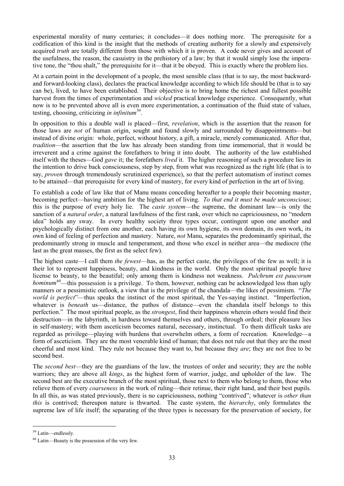experimental morality of many centuries; it concludes—it does nothing more. The prerequisite for a codification of this kind is the insight that the methods of creating authority for a slowly and expensively acquired *truth* are totally different from those with which it is proven. A code never gives and account of the usefulness, the reason, the casuistry in the prehistory of a law; by that it would simply lose the imperative tone, the "thou shalt," the prerequisite for it—that it be obeyed. This is exactly where the problem lies.

At a certain point in the development of a people, the most sensible class (that is to say, the most backwardand forward-looking class), declares the practical knowledge according to which life should be (that is to say can be), lived, to have been established. Their objective is to bring home the richest and fullest possible harvest from the times of experimentation and *wicked* practical knowledge experience. Consequently, what now is to be prevented above all is even more experimentation, a continuation of the fluid state of values, testing, choosing, criticizing *in infinitum*[59.](#page-32-0)

In opposition to this a double wall is placed—first, *revelation*, which is the assertion that the reason for those laws are *not* of human origin, sought and found slowly and surrounded by disappointments—but instead of divine origin: whole, perfect, without history, a gift, a miracle, merely communicated. After that, *tradition*—the assertion that the law has already been standing from time immemorial, that it would be irreverent and a crime against the forefathers to bring it into doubt. The authority of the law established itself with the theses—God *gave* it; the forefathers *lived* it. The higher reasoning of such a procedure lies in the intention to drive back consciousness, step by step, from what was recognized as the right life (that is to say, *proven* through tremendously scrutinized experience), so that the perfect automatism of instinct comes to be attained—that prerequisite for every kind of mastery, for every kind of perfection in the art of living.

To establish a code of law like that of Manu means conceding hereafter to a people their becoming master, becoming perfect—having ambition for the highest art of living. *To that end it must be made unconscious*; this is the purpose of every holy lie. The *caste system*—the supreme, the dominant law—is only the sanction of a *natural order*, a natural lawfulness of the first rank, over which no capriciousness, no "modern idea" holds any sway. In every healthy society three types occur, contingent upon one another and psychologically distinct from one another, each having its own hygiene, its own domain, its own work, its own kind of feeling of perfection and mastery. Nature, *not* Manu, separates the predominantly spiritual, the predominantly strong in muscle and temperament, and those who excel in neither area—the mediocre (the last as the great masses, the first as the select few).

The highest caste—I call them *the fewest*—has, as the perfect caste, the privileges of the few as well; it is their lot to represent happiness, beauty, and kindness in the world. Only the most spiritual people have license to beauty, to the beautiful; only among them is kindness not weakness. *Pulchrum est paucorum hominum*<sup>[60](#page-32-1)</sup>—this possession is a privilege. To them, however, nothing can be acknowledged less than ugly manners or a pessimistic outlook, a view that is the privilege of the chandala—the likes of pessimism. "*The world is perfect*"—thus speaks the instinct of the most spiritual, the Yes-saying instinct. "Imperfection, whatever is *beneath* us—distance, the pathos of distance—even the chandala itself belongs to this perfection." The most spiritual people, as the *strongest*, find their happiness wherein others would find their destruction—in the labyrinth, in hardness toward themselves and others, through ordeal; their pleasure lies in self-mastery; with them asceticism becomes natural, necessary, instinctual. To them difficult tasks are regarded as privilege—playing with burdens that overwhelm others, a form of recreation. Knowledge—a form of asceticism. They are the most venerable kind of human; that does not rule out that they are the most cheerful and most kind. They rule not because they want to, but because they *are*; they are not free to be second best.

The *second best*—they are the guardians of the law, the trustees of order and security; they are the noble warriors; they are above all *kings*, as the highest form of warrior, judge, and upholder of the law. The second best are the executive branch of the most spiritual, those next to them who belong to them, those who relieve them of every *coarseness* in the work of ruling—their retinue, their right hand, and their best pupils. In all this, as was stated previously, there is no capriciousness, nothing "contrived"; whatever is *other than this* is contrived; thereupon nature is thwarted. The caste system, the *hierarchy*, only formulates the supreme law of life itself; the separating of the three types is necessary for the preservation of society, for

<span id="page-32-0"></span> <sup>59</sup> Latin—endlessly.

<span id="page-32-1"></span> $60$  Latin—Beauty is the possession of the very few.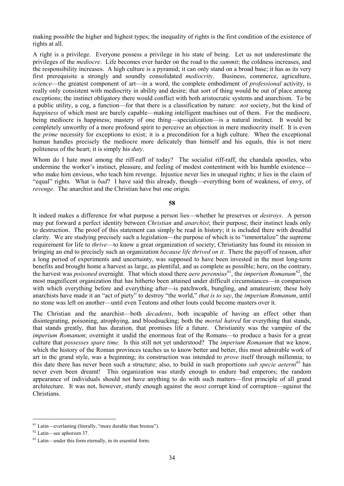making possible the higher and highest types; the inequality of rights is the first condition of the existence of rights at all.

A right is a privilege. Everyone possess a privilege in his state of being. Let us not underestimate the privileges of the *mediocre*. Life becomes ever harder on the road to the *summit*; the coldness increases, and the responsibility increases. A high culture is a pyramid; it can only stand on a broad base; it has as its very first prerequisite a strongly and soundly consolidated *mediocrity*. Business, commerce, agriculture, *science*—the greatest component of art—in a word, the complete embodiment of *professional* activity, is really only consistent with mediocrity in ability and desire; that sort of thing would be out of place among exceptions; the instinct obligatory there would conflict with both aristocratic systems and anarchism. To be a public utility, a cog, a function—for that there is a classification by nature: *not* society, but the kind of *happiness* of which most are barely capable—making intelligent machines out of them. For the mediocre, being mediocre is happiness; mastery of one thing—specialization—is a natural instinct. It would be completely unworthy of a more profound spirit to perceive an objection in mere mediocrity itself. It is even the *prime* necessity for exceptions to exist; it is a precondition for a high culture. When the exceptional human handles precisely the mediocre more delicately than himself and his equals, this is not mere politeness of the heart; it is simply his *duty*.

Whom do I hate most among the riff-raff of today? The socialist riff-raff, the chandala apostles, who undermine the worker's instinct, pleasure, and feeling of modest contentment with his humble existence who make him envious, who teach him revenge. Injustice never lies in unequal rights; it lies in the claim of "equal" rights. What is *bad*? I have said this already, though—everything born of weakness, of envy, of *revenge*. The anarchist and the Christian have but one origin.

#### **58**

It indeed makes a difference for what purpose a person lies—whether he preserves or *destroys*. A person may put forward a perfect identity between *Christian* and *anarchist*; their purpose, their instinct leads only to destruction. The proof of this statement can simply be read in history; it is included there with dreadful clarity. We are studying precisely such a legislation—the purpose of which is to "immortalize" the supreme requirement for life to *thrive*—to know a great organization of society; Christianity has found its mission in bringing an end to precisely such an organization *because life thrived on it*. There the payoff of reason, after a long period of experiments and uncertainty, was supposed to have been invested in the most long-term benefits and brought home a harvest as large, as plentiful, and as complete as possible; here, on the contrary, the harvest was *poisoned* overnight. That which stood there *aere perennius*[61](#page-33-0), the *imperium Romanum*[62,](#page-33-1) the most magnificent organization that has hitherto been attained under difficult circumstances—in comparison with which everything before and everything after—is patchwork, bungling, and amateurism; these holy anarchists have made it an "act of piety" to destroy "the world," *that is to say*, the *imperium Romanum*, until no stone was left on another—until even Teutons and other louts could become masters over it.

The Christian and the anarchist—both *decadents*, both incapable of having an effect other than disintegrating, poisoning, atrophying, and bloodsucking; both the *mortal hatred* for everything that stands, that stands greatly, that has duration, that promises life a future. Christianity was the vampire of the *imperium Romanum*; overnight it undid the enormous feat of the Romans—to produce a basis for a great culture that *possesses spare time*. Is this still not yet understood? The *imperium Romanum* that we know, which the history of the Roman provinces teaches us to know better and better, this most admirable work of art in the grand style, was a beginning; its construction was intended to *prove* itself through millennia; to this date there has never been such a structure; also, to build in such proportions *sub specie aeterni*[63](#page-33-2) has never even been dreamt! This organization was sturdy enough to endure bad emperors; the random appearance of individuals should not have anything to do with such matters—first principle of all grand architecture. It was not, however, sturdy enough against the *most* corrupt kind of corruption—against the Christians.

<span id="page-33-0"></span> $61$  Latin—everlasting (literally, "more durable than bronze").

<span id="page-33-1"></span><sup>62</sup> Latin—see aphorism 37.

<span id="page-33-2"></span><sup>63</sup> Latin—under this form eternally, in its essential form.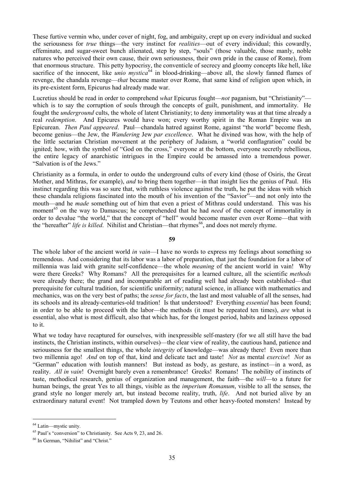These furtive vermin who, under cover of night, fog, and ambiguity, crept up on every individual and sucked the seriousness for *true* things—the very instinct for *realities*—out of every individual; this cowardly, effeminate, and sugar-sweet bunch alienated, step by step, "souls" (those valuable, those manly, noble natures who perceived their own cause, their own seriousness, their own pride in the cause of Rome), from that enormous structure. This petty hypocrisy, the conventicle of secrecy and gloomy concepts like hell, like sacrifice of the innocent, like *unio mystica*<sup>[64](#page-34-0)</sup> in blood-drinking—above all, the slowly fanned flames of revenge, the chandala revenge—*that* became master over Rome, that same kind of religion upon which, in its pre-existent form, Epicurus had already made war.

Lucretius should be read in order to comprehend *what* Epicurus fought—*not* paganism, but "Christianity" which is to say the corruption of souls through the concepts of guilt, punishment, and immortality. He fought the *underground* cults, the whole of latent Christianity; to deny immortality was at that time already a real *redemption*. And Epicures would have won; every worthy spirit in the Roman Empire was an Epicurean. *Then Paul appeared*. Paul—chandala hatred against Rome, against "the world" become flesh, become genius—the Jew, the *Wandering* Jew *par excellence*. What he divined was how, with the help of the little sectarian Christian movement at the periphery of Judaism, a "world conflagration" could be ignited; how, with the symbol of "God on the cross," everyone at the bottom, everyone secretly rebellious, the entire legacy of anarchistic intrigues in the Empire could be amassed into a tremendous power. "Salvation is of the Jews."

Christianity as a formula, in order to outdo the underground cults of every kind (those of Osiris, the Great Mother, and Mithras, for example), *and* to bring them together—in that insight lies the genius of Paul. His instinct regarding this was so sure that, with ruthless violence against the truth, he put the ideas with which these chandala religions fascinated into the mouth of his invention of the "Savior"—and not only into the mouth—and he *made* something out of him that even a priest of Mithras could understand. This was his moment<sup>[65](#page-34-1)</sup> on the way to Damascus; he comprehended that he had *need* of the concept of immortality in order to devalue "the world," that the concept of "hell" would become master even over Rome—that with the "hereafter" *life is killed*. Nihilist and Christian—that rhymes<sup>[66](#page-34-2)</sup>, and does not merely rhyme.

#### **59**

The whole labor of the ancient world *in vain*—I have no words to express my feelings about something so tremendous. And considering that its labor was a labor of preparation, that just the foundation for a labor of millennia was laid with granite self-confidence—the whole *meaning* of the ancient world in vain! Why were there Greeks? Why Romans? All the prerequisites for a learned culture, all the scientific *methods* were already there; the grand and incomparable art of reading well had already been established—that prerequisite for cultural tradition, for scientific uniformity; natural science, in alliance with mathematics and mechanics, was on the very best of paths; the *sense for facts*, the last and most valuable of all the senses, had its schools and its already-centuries-old tradition! Is that understood? Everything *essential* has been found; in order to be able to proceed with the labor—the methods (it must be repeated ten times), *are* what is essential, also what is most difficult, also that which has, for the longest period, habits and laziness opposed to it.

What we today have recaptured for ourselves, with inexpressible self-mastery (for we all still have the bad instincts, the Christian instincts, within ourselves)—the clear view of reality, the cautious hand, patience and seriousness for the smallest things, the whole *integrity* of knowledge—was already there! Even more than two millennia ago! *And* on top of that, kind and delicate tact and taste! *Not* as mental *exercise*! *Not* as "German" education with loutish manners! But instead as body, as gesture, as instinct—in a word, as reality. *All in vain*! Overnight barely even a remembrance! Greeks! Romans! The nobility of instincts of taste, methodical research, genius of organization and management, the faith—the *will*—to a future for human beings, the great Yes to all things, visible as the *imperium Romanum*, visible to all the senses, the grand style no longer merely art, but instead become reality, truth, *life*. And not buried alive by an extraordinary natural event! Not trampled down by Teutons and other heavy-footed monsters! Instead by

<span id="page-34-0"></span> <sup>64</sup> Latin—mystic unity.

<span id="page-34-1"></span><sup>65</sup> Paul's "conversion" to Christianity. See Acts 9, 23, and 26.

<span id="page-34-2"></span><sup>66</sup> In German, "Nihilist" and "Christ."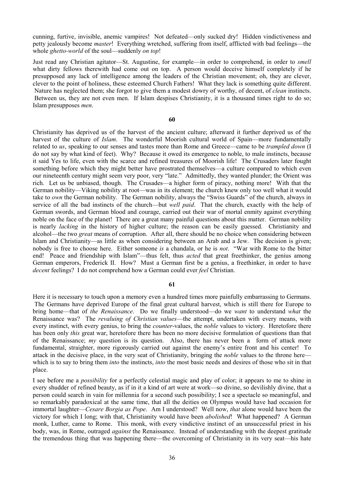cunning, furtive, invisible, anemic vampires! Not defeated—only sucked dry! Hidden vindictiveness and petty jealously become *master*! Everything wretched, suffering from itself, afflicted with bad feelings—the whole *ghetto-world* of the soul—suddenly *on top*!

Just read any Christian agitator—St. Augustine, for example—in order to comprehend, in order to *smell* what dirty fellows therewith had come out on top. A person would deceive himself completely if he presupposed any lack of intelligence among the leaders of the Christian movement; oh, they are clever, clever to the point of holiness, these esteemed Church Fathers! What they lack is something quite different. Nature has neglected them; she forgot to give them a modest dowry of worthy, of decent, of *clean* instincts. Between us, they are not even men. If Islam despises Christianity, it is a thousand times right to do so; Islam presupposes *men*.

# **60**

Christianity has deprived us of the harvest of the ancient culture; afterward it further deprived us of the harvest of the culture of *Islam*. The wonderful Moorish cultural world of Spain—more fundamentally related to *us*, speaking to our senses and tastes more than Rome and Greece—came to be *trampled down* (I do not say by what kind of feet). Why? Because it owed its emergence to noble, to male instincts, because it said Yes to life, even with the scarce and refined treasures of Moorish life! The Crusaders later fought something before which they might better have prostrated themselves—a culture compared to which even our nineteenth century might seem very poor, very "late." Admittedly, they wanted plunder; the Orient was rich. Let us be unbiased, though. The Crusades—a higher form of piracy, nothing more! With that the German nobility—Viking nobility at root—was in its element; the church knew only too well what it would take to *own* the German nobility. The German nobility, always the "Swiss Guards" of the church, always in service of all the bad instincts of the church—but *well paid*. That the church, exactly with the help of German swords, and German blood and courage, carried out their war of mortal enmity against everything noble on the face of the planet! There are a great many painful questions about this matter. German nobility is nearly *lacking* in the history of higher culture; the reason can be easily guessed. Christianity and alcohol—the two *great* means of corruption. After all, there should be no choice when considering between Islam and Christianity—as little as when considering between an Arab and a Jew. The decision is given; nobody is free to choose here. Either someone *is* a chandala, or he is *not*. "War with Rome to the bitter end! Peace and friendship with Islam"—thus felt, thus *acted* that great freethinker, the genius among German emperors, Frederick II. How? Must a German first be a genius, a freethinker, in order to have *decent* feelings? I do not comprehend how a German could ever *feel* Christian.

# **61**

Here it is necessary to touch upon a memory even a hundred times more painfully embarrassing to Germans. The Germans have deprived Europe of the final great cultural harvest, which is still there for Europe to bring home—that of *the Renaissance*. Do we finally understood—do we *want* to understand *what* the Renaissance was? The *revaluing of Christian values*—the attempt, undertaken with every means, with every instinct, with every genius, to bring the *counter*-values, the *noble* values to victory. Heretofore there has been only *this* great war, heretofore there has been no more decisive formulation of questions than that of the Renaissance; *my* question is its question. Also, there has never been a form of attack more fundamental, straighter, more rigorously carried out against the enemy's entire front and his center! To attack in the decisive place, in the very seat of Christianity, bringing the *noble* values to the throne here which is to say to bring them *into* the instincts, *into* the most basic needs and desires of those who sit in that place.

I see before me a *possibility* for a perfectly celestial magic and play of color; it appears to me to shine in every shudder of refined beauty, as if in it a kind of art were at work—so divine, so devilishly divine, that a person could search in vain for millennia for a second such possibility; I see a spectacle so meaningful, and so remarkably paradoxical at the same time, that all the deities on Olympus would have had occasion for immortal laughter—*Cesare Borgia as Pope*. Am I understood? Well now, *that* alone would have been the victory for which I long; with that, Christianity would have been *abolished*! What happened? A German monk, Luther, came to Rome. This monk, with every vindictive instinct of an unsuccessful priest in his body, was, in Rome, outraged *against* the Renaissance. Instead of understanding with the deepest gratitude the tremendous thing that was happening there—the overcoming of Christianity in its very seat—his hate